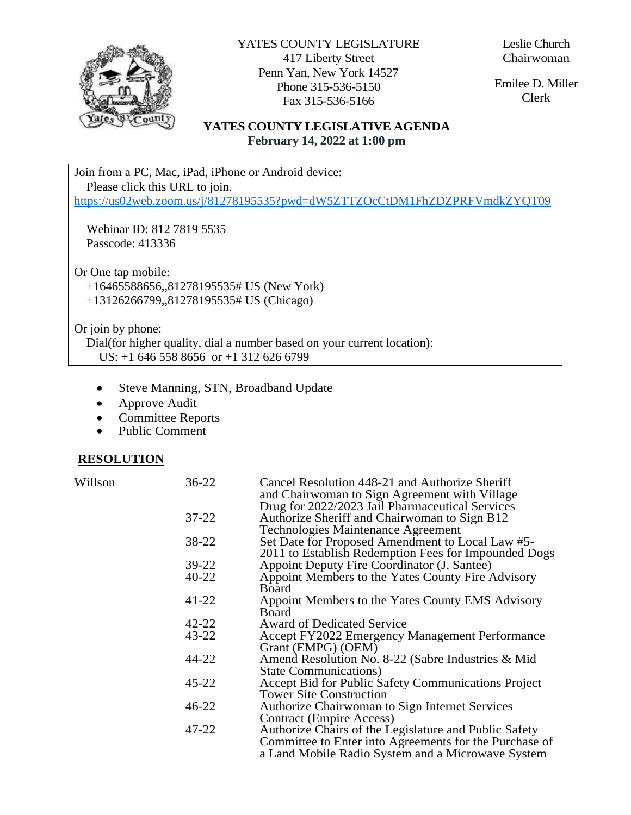

YATES COUNTY LEGISLATURE 417 Liberty Street Penn Yan, New York 14527 Phone 315-536-5150 Fax 315-536-5166

Leslie Church Chairwoman

Emilee D. Miller Clerk

# **YATES COUNTY LEGISLATIVE AGENDA February 14, 2022 at 1:00 pm**

Join from a PC, Mac, iPad, iPhone or Android device: Please click this URL to join.

<https://us02web.zoom.us/j/81278195535?pwd=dW5ZTTZOcCtDM1FhZDZPRFVmdkZYQT09>

 Webinar ID: 812 7819 5535 Passcode: 413336

Or One tap mobile: +16465588656,,81278195535# US (New York) +13126266799,,81278195535# US (Chicago)

Or join by phone:

 Dial(for higher quality, dial a number based on your current location): US: +1 646 558 8656 or +1 312 626 6799

- Steve Manning, STN, Broadband Update
- Approve Audit
- Committee Reports
- Public Comment

#### **RESOLUTION**

| Willson | $36 - 22$ | Cancel Resolution 448-21 and Authorize Sheriff         |
|---------|-----------|--------------------------------------------------------|
|         |           | and Chairwoman to Sign Agreement with Village          |
|         |           | Drug for 2022/2023 Jail Pharmaceutical Services        |
|         | $37 - 22$ | Authorize Sheriff and Chairwoman to Sign B12           |
|         |           | Technologies Maintenance Agreement                     |
|         | 38-22     | Set Date for Proposed Amendment to Local Law #5-       |
|         |           | 2011 to Establish Redemption Fees for Impounded Dogs   |
|         | 39-22     | Appoint Deputy Fire Coordinator (J. Santee)            |
|         | 40-22     | Appoint Members to the Yates County Fire Advisory      |
|         |           | <b>Board</b>                                           |
|         | 41-22     | Appoint Members to the Yates County EMS Advisory       |
|         |           | Board                                                  |
|         | 42-22     | <b>Award of Dedicated Service</b>                      |
|         | $43 - 22$ | Accept FY2022 Emergency Management Performance         |
|         |           | Grant (EMPG) (OEM)                                     |
|         | 44-22     | Amend Resolution No. 8-22 (Sabre Industries & Mid      |
|         |           | <b>State Communications</b> )                          |
|         | $45 - 22$ | Accept Bid for Public Safety Communications Project    |
|         |           | <b>Tower Site Construction</b>                         |
|         | $46 - 22$ | Authorize Chairwoman to Sign Internet Services         |
|         |           | <b>Contract (Empire Access)</b>                        |
|         | 47-22     | Authorize Chairs of the Legislature and Public Safety  |
|         |           | Committee to Enter into Agreements for the Purchase of |
|         |           | a Land Mobile Radio System and a Microwave System      |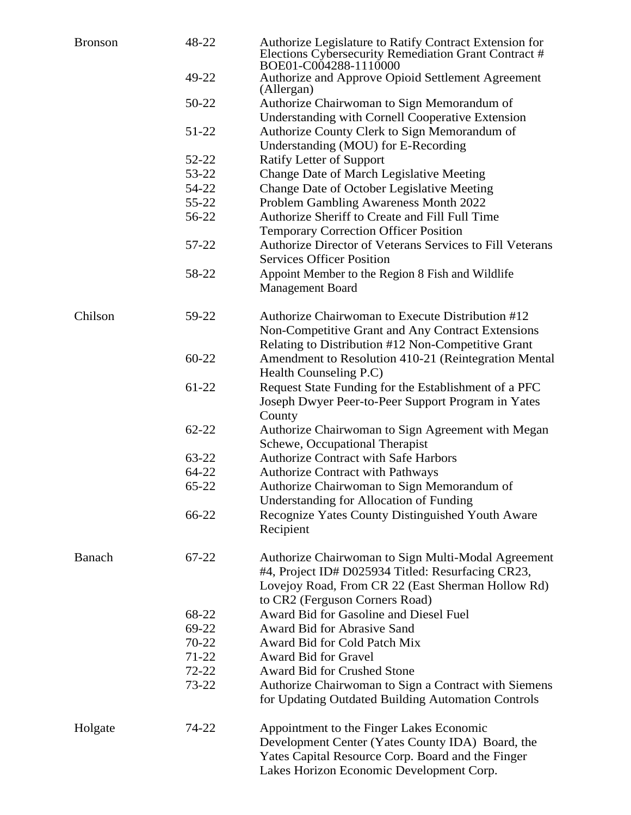| <b>Bronson</b> | 48-22              | Authorize Legislature to Ratify Contract Extension for<br>Elections Cybersecurity Remediation Grant Contract #<br>BOE01-C004288-1110000 |
|----------------|--------------------|-----------------------------------------------------------------------------------------------------------------------------------------|
|                | 49-22              | Authorize and Approve Opioid Settlement Agreement<br>(Allergan)                                                                         |
|                | 50-22              | Authorize Chairwoman to Sign Memorandum of                                                                                              |
|                |                    | <b>Understanding with Cornell Cooperative Extension</b>                                                                                 |
|                | $51 - 22$          | Authorize County Clerk to Sign Memorandum of                                                                                            |
|                |                    | Understanding (MOU) for E-Recording                                                                                                     |
|                | 52-22              | Ratify Letter of Support                                                                                                                |
|                | 53-22              | Change Date of March Legislative Meeting                                                                                                |
|                | 54-22              | Change Date of October Legislative Meeting                                                                                              |
|                | $55 - 22$          | Problem Gambling Awareness Month 2022                                                                                                   |
|                | 56-22              | Authorize Sheriff to Create and Fill Full Time                                                                                          |
|                |                    | <b>Temporary Correction Officer Position</b>                                                                                            |
|                | 57-22              | <b>Authorize Director of Veterans Services to Fill Veterans</b><br><b>Services Officer Position</b>                                     |
|                | 58-22              | Appoint Member to the Region 8 Fish and Wildlife                                                                                        |
|                |                    | <b>Management Board</b>                                                                                                                 |
| Chilson        | 59-22              | Authorize Chairwoman to Execute Distribution #12                                                                                        |
|                |                    | Non-Competitive Grant and Any Contract Extensions                                                                                       |
|                |                    | Relating to Distribution #12 Non-Competitive Grant                                                                                      |
|                | $60 - 22$          | Amendment to Resolution 410-21 (Reintegration Mental                                                                                    |
|                |                    | Health Counseling P.C)                                                                                                                  |
|                | 61-22              | Request State Funding for the Establishment of a PFC                                                                                    |
|                |                    | Joseph Dwyer Peer-to-Peer Support Program in Yates<br>County                                                                            |
|                | $62 - 22$          | Authorize Chairwoman to Sign Agreement with Megan                                                                                       |
|                |                    | Schewe, Occupational Therapist<br><b>Authorize Contract with Safe Harbors</b>                                                           |
|                | 63-22<br>$64 - 22$ | <b>Authorize Contract with Pathways</b>                                                                                                 |
|                | 65-22              | Authorize Chairwoman to Sign Memorandum of                                                                                              |
|                |                    |                                                                                                                                         |
|                | 66-22              | <b>Understanding for Allocation of Funding</b>                                                                                          |
|                |                    | Recognize Yates County Distinguished Youth Aware<br>Recipient                                                                           |
| Banach         | 67-22              | Authorize Chairwoman to Sign Multi-Modal Agreement                                                                                      |
|                |                    | #4, Project ID# D025934 Titled: Resurfacing CR23,                                                                                       |
|                |                    | Lovejoy Road, From CR 22 (East Sherman Hollow Rd)                                                                                       |
|                |                    | to CR2 (Ferguson Corners Road)                                                                                                          |
|                | 68-22              | Award Bid for Gasoline and Diesel Fuel                                                                                                  |
|                | 69-22              | Award Bid for Abrasive Sand                                                                                                             |
|                | $70 - 22$          | Award Bid for Cold Patch Mix                                                                                                            |
|                | $71-22$            | <b>Award Bid for Gravel</b>                                                                                                             |
|                | $72 - 22$          | <b>Award Bid for Crushed Stone</b>                                                                                                      |
|                | 73-22              | Authorize Chairwoman to Sign a Contract with Siemens                                                                                    |
|                |                    | for Updating Outdated Building Automation Controls                                                                                      |
| Holgate        | 74-22              | Appointment to the Finger Lakes Economic                                                                                                |
|                |                    | Development Center (Yates County IDA) Board, the                                                                                        |
|                |                    | Yates Capital Resource Corp. Board and the Finger<br>Lakes Horizon Economic Development Corp.                                           |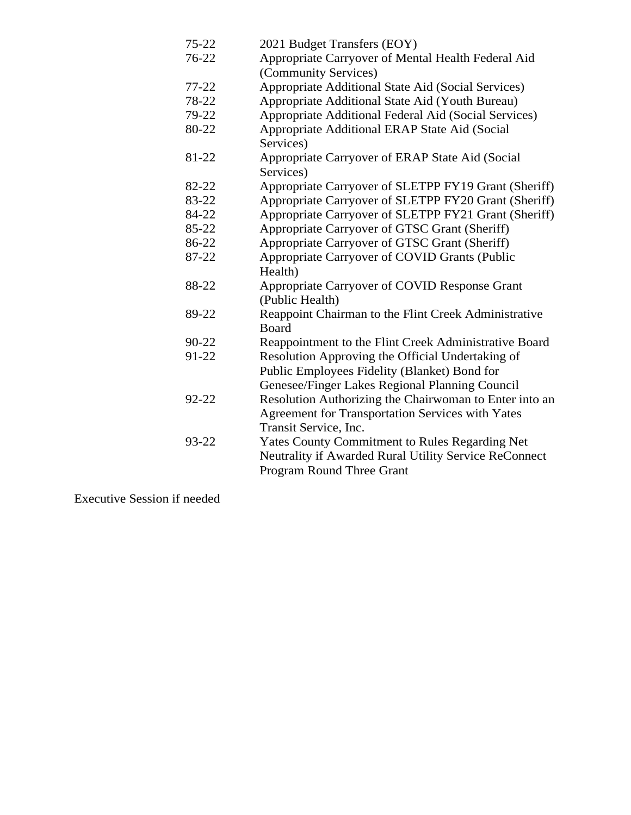| $75 - 22$ | 2021 Budget Transfers (EOY)                            |
|-----------|--------------------------------------------------------|
| 76-22     | Appropriate Carryover of Mental Health Federal Aid     |
|           | (Community Services)                                   |
| $77 - 22$ | Appropriate Additional State Aid (Social Services)     |
| 78-22     | Appropriate Additional State Aid (Youth Bureau)        |
| 79-22     | Appropriate Additional Federal Aid (Social Services)   |
| 80-22     | Appropriate Additional ERAP State Aid (Social          |
|           | Services)                                              |
| 81-22     | Appropriate Carryover of ERAP State Aid (Social        |
|           | Services)                                              |
| 82-22     | Appropriate Carryover of SLETPP FY19 Grant (Sheriff)   |
| 83-22     | Appropriate Carryover of SLETPP FY20 Grant (Sheriff)   |
| 84-22     | Appropriate Carryover of SLETPP FY21 Grant (Sheriff)   |
| 85-22     | Appropriate Carryover of GTSC Grant (Sheriff)          |
| 86-22     | Appropriate Carryover of GTSC Grant (Sheriff)          |
| 87-22     | Appropriate Carryover of COVID Grants (Public          |
|           | Health)                                                |
| 88-22     | Appropriate Carryover of COVID Response Grant          |
|           | (Public Health)                                        |
| 89-22     | Reappoint Chairman to the Flint Creek Administrative   |
|           | <b>Board</b>                                           |
| 90-22     | Reappointment to the Flint Creek Administrative Board  |
| 91-22     | Resolution Approving the Official Undertaking of       |
|           | Public Employees Fidelity (Blanket) Bond for           |
|           | Genesee/Finger Lakes Regional Planning Council         |
| 92-22     | Resolution Authorizing the Chairwoman to Enter into an |
|           | Agreement for Transportation Services with Yates       |
|           | Transit Service, Inc.                                  |
| 93-22     | Yates County Commitment to Rules Regarding Net         |
|           | Neutrality if Awarded Rural Utility Service ReConnect  |
|           | Program Round Three Grant                              |

Executive Session if needed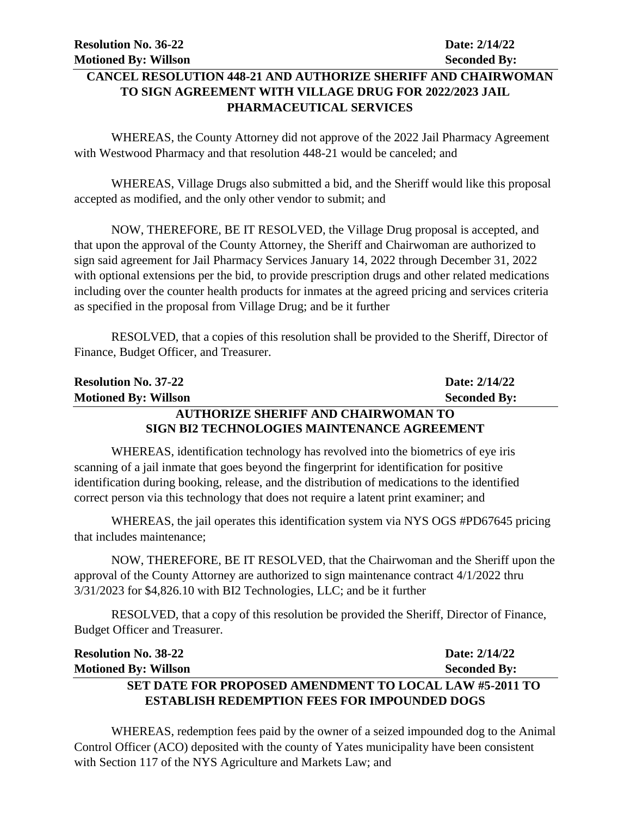# **CANCEL RESOLUTION 448-21 AND AUTHORIZE SHERIFF AND CHAIRWOMAN TO SIGN AGREEMENT WITH VILLAGE DRUG FOR 2022/2023 JAIL PHARMACEUTICAL SERVICES**

WHEREAS, the County Attorney did not approve of the 2022 Jail Pharmacy Agreement with Westwood Pharmacy and that resolution 448-21 would be canceled; and

WHEREAS, Village Drugs also submitted a bid, and the Sheriff would like this proposal accepted as modified, and the only other vendor to submit; and

NOW, THEREFORE, BE IT RESOLVED, the Village Drug proposal is accepted, and that upon the approval of the County Attorney, the Sheriff and Chairwoman are authorized to sign said agreement for Jail Pharmacy Services January 14, 2022 through December 31, 2022 with optional extensions per the bid, to provide prescription drugs and other related medications including over the counter health products for inmates at the agreed pricing and services criteria as specified in the proposal from Village Drug; and be it further

RESOLVED, that a copies of this resolution shall be provided to the Sheriff, Director of Finance, Budget Officer, and Treasurer.

| <b>Resolution No. 37-22</b>                        | Date: 2/14/22       |  |
|----------------------------------------------------|---------------------|--|
| <b>Motioned By: Willson</b>                        | <b>Seconded By:</b> |  |
| <b>AUTHORIZE SHERIFF AND CHAIRWOMAN TO</b>         |                     |  |
| <b>SIGN BI2 TECHNOLOGIES MAINTENANCE AGREEMENT</b> |                     |  |

WHEREAS, identification technology has revolved into the biometrics of eye iris scanning of a jail inmate that goes beyond the fingerprint for identification for positive identification during booking, release, and the distribution of medications to the identified correct person via this technology that does not require a latent print examiner; and

WHEREAS, the jail operates this identification system via NYS OGS #PD67645 pricing that includes maintenance;

NOW, THEREFORE, BE IT RESOLVED, that the Chairwoman and the Sheriff upon the approval of the County Attorney are authorized to sign maintenance contract 4/1/2022 thru 3/31/2023 for \$4,826.10 with BI2 Technologies, LLC; and be it further

RESOLVED, that a copy of this resolution be provided the Sheriff, Director of Finance, Budget Officer and Treasurer.

| <b>Resolution No. 38-22</b>                                    | Date: 2/14/22       |
|----------------------------------------------------------------|---------------------|
| <b>Motioned By: Willson</b>                                    | <b>Seconded By:</b> |
| <b>SET DATE FOR PROPOSED AMENDMENT TO LOCAL LAW #5-2011 TO</b> |                     |
| <b>ESTABLISH REDEMPTION FEES FOR IMPOUNDED DOGS</b>            |                     |

WHEREAS, redemption fees paid by the owner of a seized impounded dog to the Animal Control Officer (ACO) deposited with the county of Yates municipality have been consistent with Section 117 of the NYS Agriculture and Markets Law; and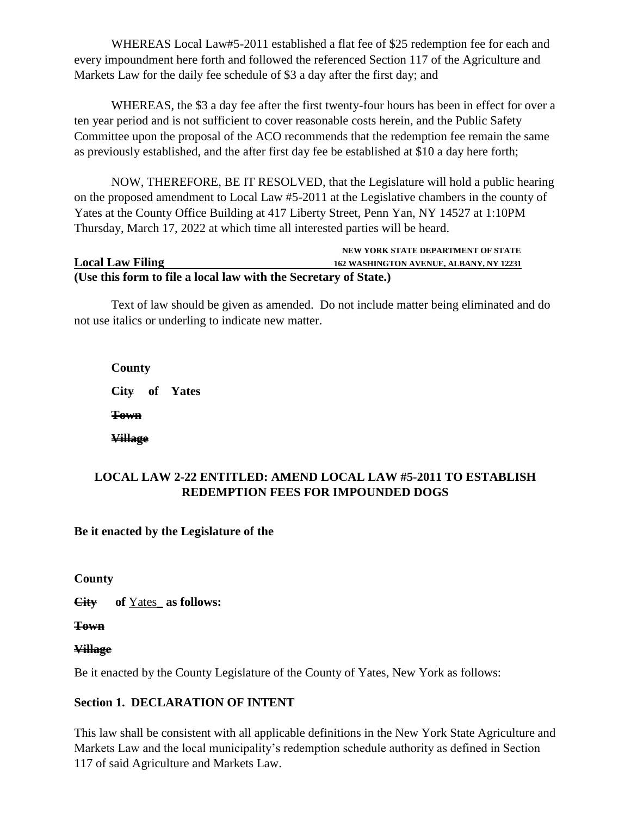WHEREAS Local Law#5-2011 established a flat fee of \$25 redemption fee for each and every impoundment here forth and followed the referenced Section 117 of the Agriculture and Markets Law for the daily fee schedule of \$3 a day after the first day; and

WHEREAS, the \$3 a day fee after the first twenty-four hours has been in effect for over a ten year period and is not sufficient to cover reasonable costs herein, and the Public Safety Committee upon the proposal of the ACO recommends that the redemption fee remain the same as previously established, and the after first day fee be established at \$10 a day here forth;

NOW, THEREFORE, BE IT RESOLVED, that the Legislature will hold a public hearing on the proposed amendment to Local Law #5-2011 at the Legislative chambers in the county of Yates at the County Office Building at 417 Liberty Street, Penn Yan, NY 14527 at 1:10PM Thursday, March 17, 2022 at which time all interested parties will be heard.

#### **NEW YORK STATE DEPARTMENT OF STATE Local Law Filing 162 WASHINGTON AVENUE, ALBANY, NY 12231 (Use this form to file a local law with the Secretary of State.)**

Text of law should be given as amended. Do not include matter being eliminated and do not use italics or underling to indicate new matter.

**County City of Yates Town Village** 

# **LOCAL LAW 2-22 ENTITLED: AMEND LOCAL LAW #5-2011 TO ESTABLISH REDEMPTION FEES FOR IMPOUNDED DOGS**

# **Be it enacted by the Legislature of the**

**County** 

**City of** Yates\_ **as follows:**

**Town**

# **Village**

Be it enacted by the County Legislature of the County of Yates, New York as follows:

# **Section 1. DECLARATION OF INTENT**

This law shall be consistent with all applicable definitions in the New York State Agriculture and Markets Law and the local municipality's redemption schedule authority as defined in Section 117 of said Agriculture and Markets Law.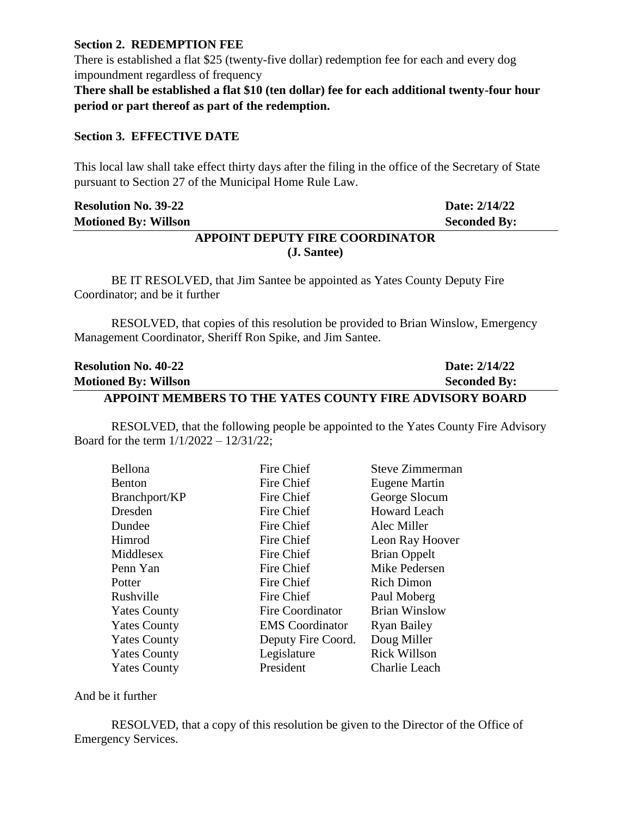#### **Section 2. REDEMPTION FEE**

There is established a flat \$25 (twenty-five dollar) redemption fee for each and every dog impoundment regardless of frequency

**There shall be established a flat \$10 (ten dollar) fee for each additional twenty-four hour period or part thereof as part of the redemption.**

#### **Section 3. EFFECTIVE DATE**

This local law shall take effect thirty days after the filing in the office of the Secretary of State pursuant to Section 27 of the Municipal Home Rule Law.

| <b>Resolution No. 39-22</b>     | Date: 2/14/22       |
|---------------------------------|---------------------|
| <b>Motioned By: Willson</b>     | <b>Seconded By:</b> |
| APPOINT DEPUTY FIRE COORDINATOR |                     |

# **(J. Santee)**

BE IT RESOLVED, that Jim Santee be appointed as Yates County Deputy Fire Coordinator; and be it further

RESOLVED, that copies of this resolution be provided to Brian Winslow, Emergency Management Coordinator, Sheriff Ron Spike, and Jim Santee.

| <b>Resolution No. 40-22</b>                             | Date: 2/14/22       |
|---------------------------------------------------------|---------------------|
| <b>Motioned By: Willson</b>                             | <b>Seconded By:</b> |
| APPOINT MEMBERS TO THE YATES COUNTY FIRE ADVISORY BOARD |                     |

RESOLVED, that the following people be appointed to the Yates County Fire Advisory

Board for the term 1/1/2022 – 12/31/22;

| Bellona             | Fire Chief              | Steve Zimmerman      |
|---------------------|-------------------------|----------------------|
| <b>Benton</b>       | Fire Chief              | Eugene Martin        |
| Branchport/KP       | Fire Chief              | George Slocum        |
| Dresden             | Fire Chief              | <b>Howard Leach</b>  |
| Dundee              | Fire Chief              | Alec Miller          |
| Himrod              | Fire Chief              | Leon Ray Hoover      |
| Middlesex           | Fire Chief              | <b>Brian Oppelt</b>  |
| Penn Yan            | Fire Chief              | Mike Pedersen        |
| Potter              | Fire Chief              | <b>Rich Dimon</b>    |
| Rushville           | Fire Chief              | Paul Moberg          |
| <b>Yates County</b> | <b>Fire Coordinator</b> | <b>Brian Winslow</b> |
| <b>Yates County</b> | <b>EMS</b> Coordinator  | <b>Ryan Bailey</b>   |
| <b>Yates County</b> | Deputy Fire Coord.      | Doug Miller          |
| <b>Yates County</b> | Legislature             | <b>Rick Willson</b>  |
| <b>Yates County</b> | President               | Charlie Leach        |
|                     |                         |                      |

And be it further

RESOLVED, that a copy of this resolution be given to the Director of the Office of Emergency Services.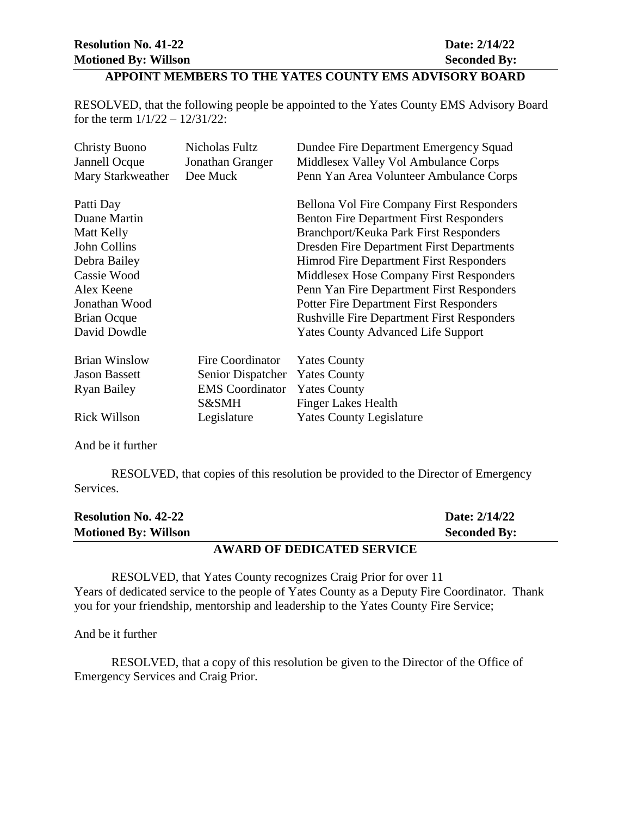# **APPOINT MEMBERS TO THE YATES COUNTY EMS ADVISORY BOARD**

RESOLVED, that the following people be appointed to the Yates County EMS Advisory Board for the term 1/1/22 – 12/31/22:

| <b>Christy Buono</b> | Nicholas Fultz         | Dundee Fire Department Emergency Squad            |
|----------------------|------------------------|---------------------------------------------------|
| Jannell Ocque        | Jonathan Granger       | Middlesex Valley Vol Ambulance Corps              |
| Mary Starkweather    | Dee Muck               | Penn Yan Area Volunteer Ambulance Corps           |
|                      |                        |                                                   |
| Patti Day            |                        | Bellona Vol Fire Company First Responders         |
| Duane Martin         |                        | <b>Benton Fire Department First Responders</b>    |
| Matt Kelly           |                        | <b>Branchport/Keuka Park First Responders</b>     |
| John Collins         |                        | <b>Dresden Fire Department First Departments</b>  |
| Debra Bailey         |                        | Himrod Fire Department First Responders           |
| Cassie Wood          |                        | Middlesex Hose Company First Responders           |
| Alex Keene           |                        | Penn Yan Fire Department First Responders         |
| Jonathan Wood        |                        | <b>Potter Fire Department First Responders</b>    |
| <b>Brian Ocque</b>   |                        | <b>Rushville Fire Department First Responders</b> |
| David Dowdle         |                        | <b>Yates County Advanced Life Support</b>         |
| <b>Brian Winslow</b> | Fire Coordinator       | <b>Yates County</b>                               |
| <b>Jason Bassett</b> | Senior Dispatcher      | <b>Yates County</b>                               |
| <b>Ryan Bailey</b>   | <b>EMS</b> Coordinator | <b>Yates County</b>                               |
|                      | S&SMH                  | <b>Finger Lakes Health</b>                        |
| <b>Rick Willson</b>  | Legislature            | <b>Yates County Legislature</b>                   |

And be it further

RESOLVED, that copies of this resolution be provided to the Director of Emergency Services.

| <b>Resolution No. 42-22</b> |                                   | Date: 2/14/22       |
|-----------------------------|-----------------------------------|---------------------|
| <b>Motioned By: Willson</b> |                                   | <b>Seconded By:</b> |
|                             | <b>AWARD OF DEDICATED SERVICE</b> |                     |

RESOLVED, that Yates County recognizes Craig Prior for over 11 Years of dedicated service to the people of Yates County as a Deputy Fire Coordinator. Thank you for your friendship, mentorship and leadership to the Yates County Fire Service;

And be it further

RESOLVED, that a copy of this resolution be given to the Director of the Office of Emergency Services and Craig Prior.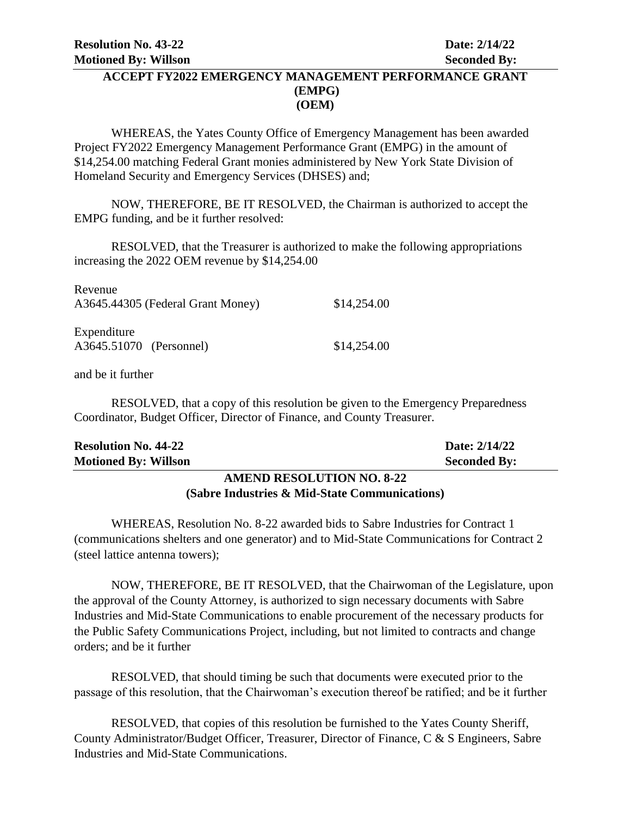### **ACCEPT FY2022 EMERGENCY MANAGEMENT PERFORMANCE GRANT (EMPG) (OEM)**

WHEREAS, the Yates County Office of Emergency Management has been awarded Project FY2022 Emergency Management Performance Grant (EMPG) in the amount of \$14,254.00 matching Federal Grant monies administered by New York State Division of Homeland Security and Emergency Services (DHSES) and;

NOW, THEREFORE, BE IT RESOLVED, the Chairman is authorized to accept the EMPG funding, and be it further resolved:

RESOLVED, that the Treasurer is authorized to make the following appropriations increasing the 2022 OEM revenue by \$14,254.00

| Revenue<br>A3645.44305 (Federal Grant Money) | \$14,254.00 |
|----------------------------------------------|-------------|
| Expenditure<br>A3645.51070 (Personnel)       | \$14,254.00 |

and be it further

RESOLVED, that a copy of this resolution be given to the Emergency Preparedness Coordinator, Budget Officer, Director of Finance, and County Treasurer.

| <b>Motioned By: Willson</b> | <b>Seconded By:</b> |
|-----------------------------|---------------------|
| <b>Resolution No. 44-22</b> | Date: 2/14/22       |
|                             |                     |

### **AMEND RESOLUTION NO. 8-22 (Sabre Industries & Mid-State Communications)**

WHEREAS, Resolution No. 8-22 awarded bids to Sabre Industries for Contract 1 (communications shelters and one generator) and to Mid-State Communications for Contract 2 (steel lattice antenna towers);

NOW, THEREFORE, BE IT RESOLVED, that the Chairwoman of the Legislature, upon the approval of the County Attorney, is authorized to sign necessary documents with Sabre Industries and Mid-State Communications to enable procurement of the necessary products for the Public Safety Communications Project, including, but not limited to contracts and change orders; and be it further

RESOLVED, that should timing be such that documents were executed prior to the passage of this resolution, that the Chairwoman's execution thereof be ratified; and be it further

RESOLVED, that copies of this resolution be furnished to the Yates County Sheriff, County Administrator/Budget Officer, Treasurer, Director of Finance, C & S Engineers, Sabre Industries and Mid-State Communications.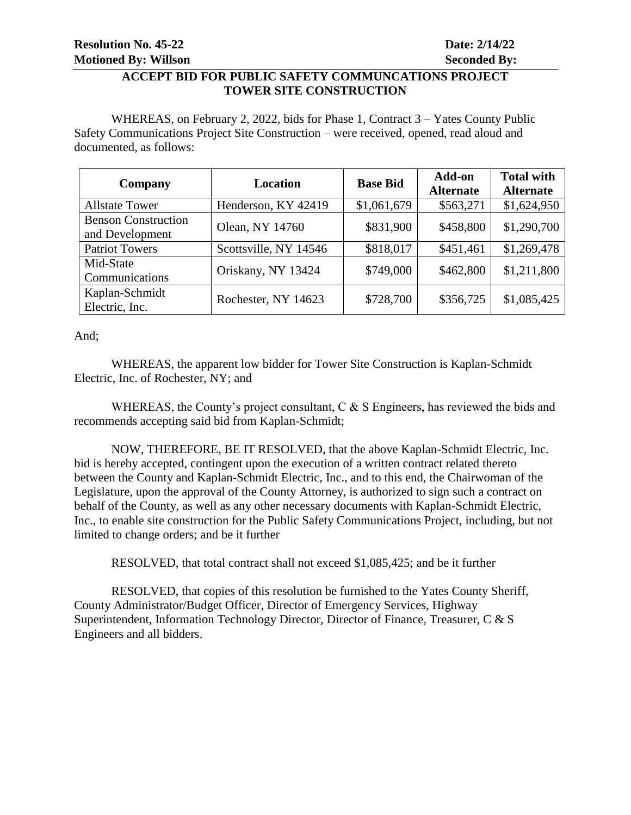### **ACCEPT BID FOR PUBLIC SAFETY COMMUNCATIONS PROJECT TOWER SITE CONSTRUCTION**

WHEREAS, on February 2, 2022, bids for Phase 1, Contract 3 – Yates County Public Safety Communications Project Site Construction – were received, opened, read aloud and documented, as follows:

| Company                                       | <b>Location</b>       | <b>Base Bid</b> | Add-on<br><b>Alternate</b> | <b>Total with</b><br><b>Alternate</b> |
|-----------------------------------------------|-----------------------|-----------------|----------------------------|---------------------------------------|
| <b>Allstate Tower</b>                         | Henderson, KY 42419   | \$1,061,679     | \$563,271                  | \$1,624,950                           |
| <b>Benson Construction</b><br>and Development | Olean, NY 14760       | \$831,900       | \$458,800                  | \$1,290,700                           |
| <b>Patriot Towers</b>                         | Scottsville, NY 14546 | \$818,017       | \$451,461                  | \$1,269,478                           |
| Mid-State<br>Communications                   | Oriskany, NY 13424    | \$749,000       | \$462,800                  | \$1,211,800                           |
| Kaplan-Schmidt<br>Electric, Inc.              | Rochester, NY 14623   | \$728,700       | \$356,725                  | \$1,085,425                           |

And;

WHEREAS, the apparent low bidder for Tower Site Construction is Kaplan-Schmidt Electric, Inc. of Rochester, NY; and

WHEREAS, the County's project consultant, C & S Engineers, has reviewed the bids and recommends accepting said bid from Kaplan-Schmidt;

NOW, THEREFORE, BE IT RESOLVED, that the above Kaplan-Schmidt Electric, Inc. bid is hereby accepted, contingent upon the execution of a written contract related thereto between the County and Kaplan-Schmidt Electric, Inc., and to this end, the Chairwoman of the Legislature, upon the approval of the County Attorney, is authorized to sign such a contract on behalf of the County, as well as any other necessary documents with Kaplan-Schmidt Electric, Inc., to enable site construction for the Public Safety Communications Project, including, but not limited to change orders; and be it further

RESOLVED, that total contract shall not exceed \$1,085,425; and be it further

RESOLVED, that copies of this resolution be furnished to the Yates County Sheriff, County Administrator/Budget Officer, Director of Emergency Services, Highway Superintendent, Information Technology Director, Director of Finance, Treasurer, C & S Engineers and all bidders.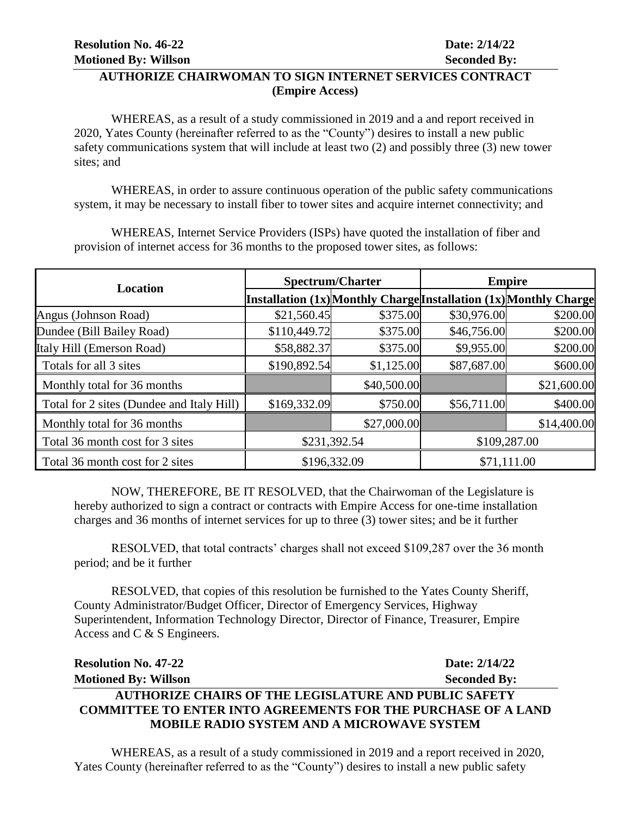# **AUTHORIZE CHAIRWOMAN TO SIGN INTERNET SERVICES CONTRACT (Empire Access)**

WHEREAS, as a result of a study commissioned in 2019 and a and report received in 2020, Yates County (hereinafter referred to as the "County") desires to install a new public safety communications system that will include at least two (2) and possibly three (3) new tower sites; and

WHEREAS, in order to assure continuous operation of the public safety communications system, it may be necessary to install fiber to tower sites and acquire internet connectivity; and

WHEREAS, Internet Service Providers (ISPs) have quoted the installation of fiber and provision of internet access for 36 months to the proposed tower sites, as follows:

| <b>Location</b>                           | <b>Spectrum/Charter</b> |             | <b>Empire</b> |                                                                   |
|-------------------------------------------|-------------------------|-------------|---------------|-------------------------------------------------------------------|
|                                           |                         |             |               | Installation (1x) Monthly Charge Installation (1x) Monthly Charge |
| Angus (Johnson Road)                      | \$21,560.45             | \$375.00    | \$30,976.00   | \$200.00                                                          |
| Dundee (Bill Bailey Road)                 | \$110,449.72            | \$375.00    | \$46,756.00   | \$200.00                                                          |
| Italy Hill (Emerson Road)                 | \$58,882.37             | \$375.00    | \$9,955.00    | \$200.00                                                          |
| Totals for all 3 sites                    | \$190,892.54            | \$1,125.00  | \$87,687.00   | \$600.00                                                          |
| Monthly total for 36 months               |                         | \$40,500.00 |               | \$21,600.00                                                       |
| Total for 2 sites (Dundee and Italy Hill) | \$169,332.09            | \$750.00    | \$56,711.00   | \$400.00                                                          |
| Monthly total for 36 months               |                         | \$27,000.00 |               | \$14,400.00                                                       |
| Total 36 month cost for 3 sites           | \$231,392.54            |             |               | \$109,287.00                                                      |
| Total 36 month cost for 2 sites           | \$196,332.09            |             |               | \$71,111.00                                                       |

NOW, THEREFORE, BE IT RESOLVED, that the Chairwoman of the Legislature is hereby authorized to sign a contract or contracts with Empire Access for one-time installation charges and 36 months of internet services for up to three (3) tower sites; and be it further

RESOLVED, that total contracts' charges shall not exceed \$109,287 over the 36 month period; and be it further

RESOLVED, that copies of this resolution be furnished to the Yates County Sheriff, County Administrator/Budget Officer, Director of Emergency Services, Highway Superintendent, Information Technology Director, Director of Finance, Treasurer, Empire Access and C & S Engineers.

| <b>Resolution No. 47-22</b>                                          | Date: 2/14/22       |
|----------------------------------------------------------------------|---------------------|
| <b>Motioned By: Willson</b>                                          | <b>Seconded By:</b> |
| <b>AUTHORIZE CHAIRS OF THE LEGISLATURE AND PUBLIC SAFETY</b>         |                     |
| <b>COMMITTEE TO ENTER INTO AGREEMENTS FOR THE PURCHASE OF A LAND</b> |                     |
| <b>MOBILE RADIO SYSTEM AND A MICROWAVE SYSTEM</b>                    |                     |

WHEREAS, as a result of a study commissioned in 2019 and a report received in 2020, Yates County (hereinafter referred to as the "County") desires to install a new public safety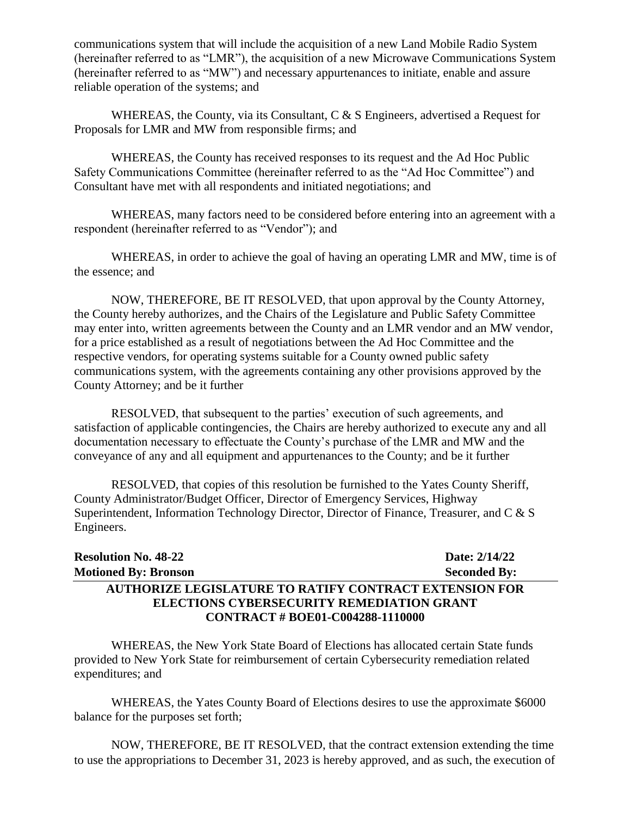communications system that will include the acquisition of a new Land Mobile Radio System (hereinafter referred to as "LMR"), the acquisition of a new Microwave Communications System (hereinafter referred to as "MW") and necessary appurtenances to initiate, enable and assure reliable operation of the systems; and

WHEREAS, the County, via its Consultant, C & S Engineers, advertised a Request for Proposals for LMR and MW from responsible firms; and

WHEREAS, the County has received responses to its request and the Ad Hoc Public Safety Communications Committee (hereinafter referred to as the "Ad Hoc Committee") and Consultant have met with all respondents and initiated negotiations; and

WHEREAS, many factors need to be considered before entering into an agreement with a respondent (hereinafter referred to as "Vendor"); and

WHEREAS, in order to achieve the goal of having an operating LMR and MW, time is of the essence; and

NOW, THEREFORE, BE IT RESOLVED, that upon approval by the County Attorney, the County hereby authorizes, and the Chairs of the Legislature and Public Safety Committee may enter into, written agreements between the County and an LMR vendor and an MW vendor, for a price established as a result of negotiations between the Ad Hoc Committee and the respective vendors, for operating systems suitable for a County owned public safety communications system, with the agreements containing any other provisions approved by the County Attorney; and be it further

RESOLVED, that subsequent to the parties' execution of such agreements, and satisfaction of applicable contingencies, the Chairs are hereby authorized to execute any and all documentation necessary to effectuate the County's purchase of the LMR and MW and the conveyance of any and all equipment and appurtenances to the County; and be it further

RESOLVED, that copies of this resolution be furnished to the Yates County Sheriff, County Administrator/Budget Officer, Director of Emergency Services, Highway Superintendent, Information Technology Director, Director of Finance, Treasurer, and C & S Engineers.

| <b>Resolution No. 48-22</b>                                   | Date: 2/14/22       |
|---------------------------------------------------------------|---------------------|
| <b>Motioned By: Bronson</b>                                   | <b>Seconded By:</b> |
| <b>AUTHORIZE LEGISLATURE TO RATIFY CONTRACT EXTENSION FOR</b> |                     |
| ELECTIONS CYBERSECURITY REMEDIATION GRANT                     |                     |
| <b>CONTRACT # BOE01-C004288-1110000</b>                       |                     |

WHEREAS, the New York State Board of Elections has allocated certain State funds provided to New York State for reimbursement of certain Cybersecurity remediation related expenditures; and

WHEREAS, the Yates County Board of Elections desires to use the approximate \$6000 balance for the purposes set forth;

NOW, THEREFORE, BE IT RESOLVED, that the contract extension extending the time to use the appropriations to December 31, 2023 is hereby approved, and as such, the execution of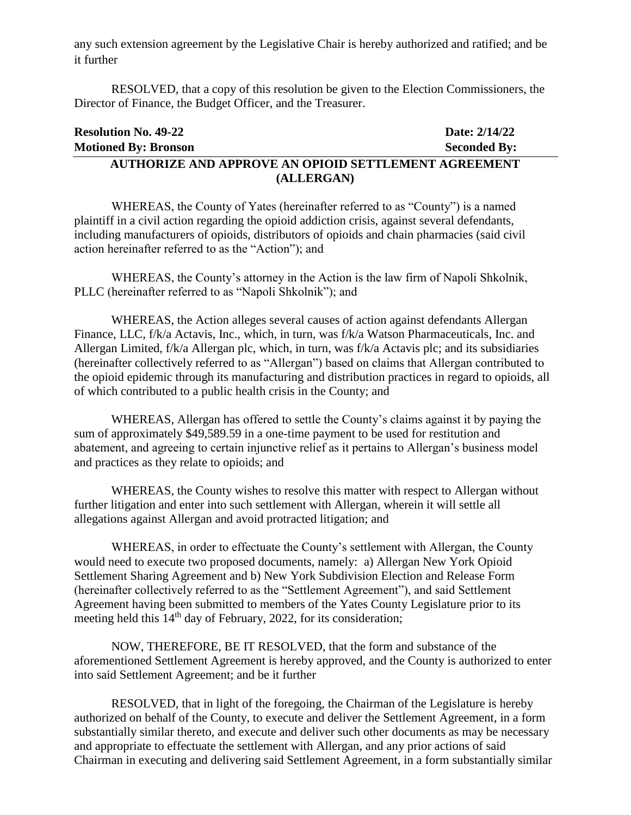any such extension agreement by the Legislative Chair is hereby authorized and ratified; and be it further

RESOLVED, that a copy of this resolution be given to the Election Commissioners, the Director of Finance, the Budget Officer, and the Treasurer.

| <b>Resolution No. 49-22</b>                                 | Date: 2/14/22       |
|-------------------------------------------------------------|---------------------|
| <b>Motioned By: Bronson</b>                                 | <b>Seconded By:</b> |
| <b>AUTHORIZE AND APPROVE AN OPIOID SETTLEMENT AGREEMENT</b> |                     |
| (ALLERGAN)                                                  |                     |

WHEREAS, the County of Yates (hereinafter referred to as "County") is a named plaintiff in a civil action regarding the opioid addiction crisis, against several defendants, including manufacturers of opioids, distributors of opioids and chain pharmacies (said civil action hereinafter referred to as the "Action"); and

WHEREAS, the County's attorney in the Action is the law firm of Napoli Shkolnik, PLLC (hereinafter referred to as "Napoli Shkolnik"); and

WHEREAS, the Action alleges several causes of action against defendants Allergan Finance, LLC, f/k/a Actavis, Inc., which, in turn, was f/k/a Watson Pharmaceuticals, Inc. and Allergan Limited, f/k/a Allergan plc, which, in turn, was f/k/a Actavis plc; and its subsidiaries (hereinafter collectively referred to as "Allergan") based on claims that Allergan contributed to the opioid epidemic through its manufacturing and distribution practices in regard to opioids, all of which contributed to a public health crisis in the County; and

WHEREAS, Allergan has offered to settle the County's claims against it by paying the sum of approximately \$49,589.59 in a one-time payment to be used for restitution and abatement, and agreeing to certain injunctive relief as it pertains to Allergan's business model and practices as they relate to opioids; and

WHEREAS, the County wishes to resolve this matter with respect to Allergan without further litigation and enter into such settlement with Allergan, wherein it will settle all allegations against Allergan and avoid protracted litigation; and

WHEREAS, in order to effectuate the County's settlement with Allergan, the County would need to execute two proposed documents, namely: a) Allergan New York Opioid Settlement Sharing Agreement and b) New York Subdivision Election and Release Form (hereinafter collectively referred to as the "Settlement Agreement"), and said Settlement Agreement having been submitted to members of the Yates County Legislature prior to its meeting held this 14<sup>th</sup> day of February, 2022, for its consideration;

NOW, THEREFORE, BE IT RESOLVED, that the form and substance of the aforementioned Settlement Agreement is hereby approved, and the County is authorized to enter into said Settlement Agreement; and be it further

RESOLVED, that in light of the foregoing, the Chairman of the Legislature is hereby authorized on behalf of the County, to execute and deliver the Settlement Agreement, in a form substantially similar thereto, and execute and deliver such other documents as may be necessary and appropriate to effectuate the settlement with Allergan, and any prior actions of said Chairman in executing and delivering said Settlement Agreement, in a form substantially similar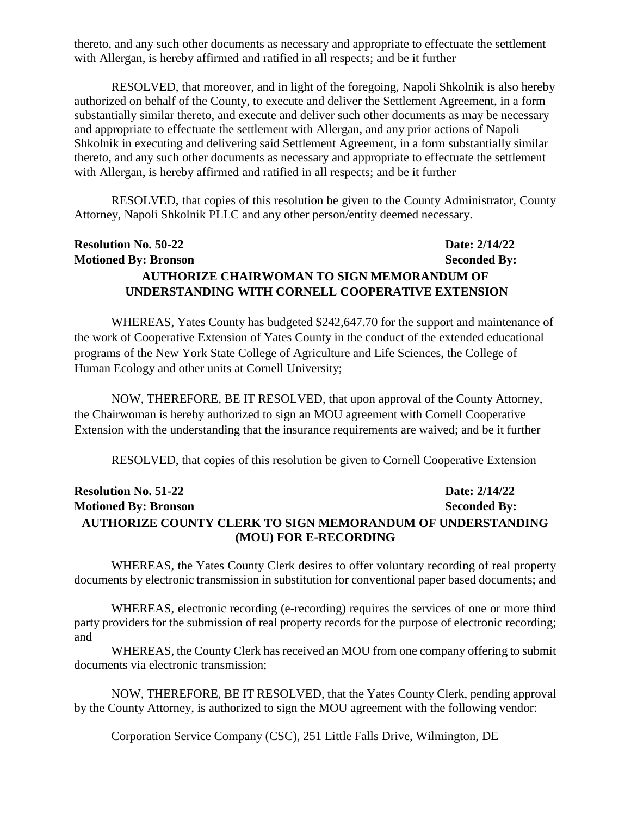thereto, and any such other documents as necessary and appropriate to effectuate the settlement with Allergan, is hereby affirmed and ratified in all respects; and be it further

RESOLVED, that moreover, and in light of the foregoing, Napoli Shkolnik is also hereby authorized on behalf of the County, to execute and deliver the Settlement Agreement, in a form substantially similar thereto, and execute and deliver such other documents as may be necessary and appropriate to effectuate the settlement with Allergan, and any prior actions of Napoli Shkolnik in executing and delivering said Settlement Agreement, in a form substantially similar thereto, and any such other documents as necessary and appropriate to effectuate the settlement with Allergan, is hereby affirmed and ratified in all respects; and be it further

RESOLVED, that copies of this resolution be given to the County Administrator, County Attorney, Napoli Shkolnik PLLC and any other person/entity deemed necessary.

| <b>Resolution No. 50-22</b>                       | Date: 2/14/22       |
|---------------------------------------------------|---------------------|
| <b>Motioned By: Bronson</b>                       | <b>Seconded By:</b> |
| <b>AUTHORIZE CHAIRWOMAN TO SIGN MEMORANDUM OF</b> |                     |
| UNDERSTANDING WITH CORNELL COOPERATIVE EXTENSION  |                     |

WHEREAS, Yates County has budgeted \$242,647.70 for the support and maintenance of the work of Cooperative Extension of Yates County in the conduct of the extended educational programs of the New York State College of Agriculture and Life Sciences, the College of Human Ecology and other units at Cornell University;

NOW, THEREFORE, BE IT RESOLVED, that upon approval of the County Attorney, the Chairwoman is hereby authorized to sign an MOU agreement with Cornell Cooperative Extension with the understanding that the insurance requirements are waived; and be it further

RESOLVED, that copies of this resolution be given to Cornell Cooperative Extension

| <b>Resolution No. 51-22</b>                                       | Date: 2/14/22       |
|-------------------------------------------------------------------|---------------------|
| <b>Motioned By: Bronson</b>                                       | <b>Seconded By:</b> |
| <b>AUTHORIZE COUNTY CLERK TO SIGN MEMORANDUM OF UNDERSTANDING</b> |                     |
| (MOU) FOR E-RECORDING                                             |                     |

WHEREAS, the Yates County Clerk desires to offer voluntary recording of real property documents by electronic transmission in substitution for conventional paper based documents; and

WHEREAS, electronic recording (e-recording) requires the services of one or more third party providers for the submission of real property records for the purpose of electronic recording; and

WHEREAS, the County Clerk has received an MOU from one company offering to submit documents via electronic transmission;

NOW, THEREFORE, BE IT RESOLVED, that the Yates County Clerk, pending approval by the County Attorney, is authorized to sign the MOU agreement with the following vendor:

Corporation Service Company (CSC), 251 Little Falls Drive, Wilmington, DE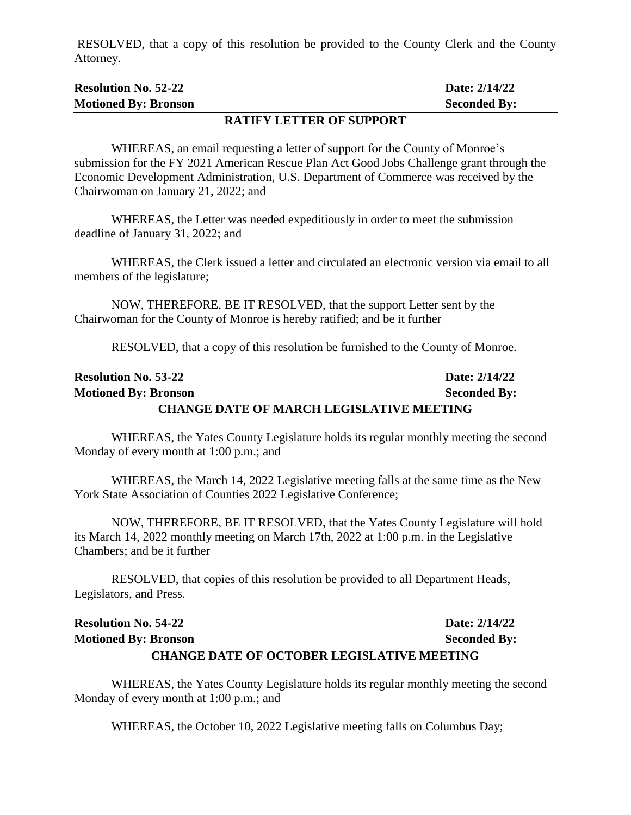RESOLVED, that a copy of this resolution be provided to the County Clerk and the County Attorney.

| <b>Resolution No. 52-22</b> | Date: 2/14/22       |
|-----------------------------|---------------------|
| <b>Motioned By: Bronson</b> | <b>Seconded By:</b> |
|                             |                     |

#### **RATIFY LETTER OF SUPPORT**

WHEREAS, an email requesting a letter of support for the County of Monroe's submission for the FY 2021 American Rescue Plan Act Good Jobs Challenge grant through the Economic Development Administration, U.S. Department of Commerce was received by the Chairwoman on January 21, 2022; and

WHEREAS, the Letter was needed expeditiously in order to meet the submission deadline of January 31, 2022; and

WHEREAS, the Clerk issued a letter and circulated an electronic version via email to all members of the legislature;

NOW, THEREFORE, BE IT RESOLVED, that the support Letter sent by the Chairwoman for the County of Monroe is hereby ratified; and be it further

RESOLVED, that a copy of this resolution be furnished to the County of Monroe.

| <b>Resolution No. 53-22</b>                     | Date: 2/14/22       |
|-------------------------------------------------|---------------------|
| <b>Motioned By: Bronson</b>                     | <b>Seconded By:</b> |
| <b>CHANGE DATE OF MARCH LEGISLATIVE MEETING</b> |                     |

WHEREAS, the Yates County Legislature holds its regular monthly meeting the second Monday of every month at 1:00 p.m.; and

WHEREAS, the March 14, 2022 Legislative meeting falls at the same time as the New York State Association of Counties 2022 Legislative Conference;

NOW, THEREFORE, BE IT RESOLVED, that the Yates County Legislature will hold its March 14, 2022 monthly meeting on March 17th, 2022 at 1:00 p.m. in the Legislative Chambers; and be it further

RESOLVED, that copies of this resolution be provided to all Department Heads, Legislators, and Press.

| <b>Motioned By: Bronson</b> | <b>Seconded By:</b> |
|-----------------------------|---------------------|
| <b>Resolution No. 54-22</b> | Date: 2/14/22       |

#### **CHANGE DATE OF OCTOBER LEGISLATIVE MEETING**

WHEREAS, the Yates County Legislature holds its regular monthly meeting the second Monday of every month at 1:00 p.m.; and

WHEREAS, the October 10, 2022 Legislative meeting falls on Columbus Day;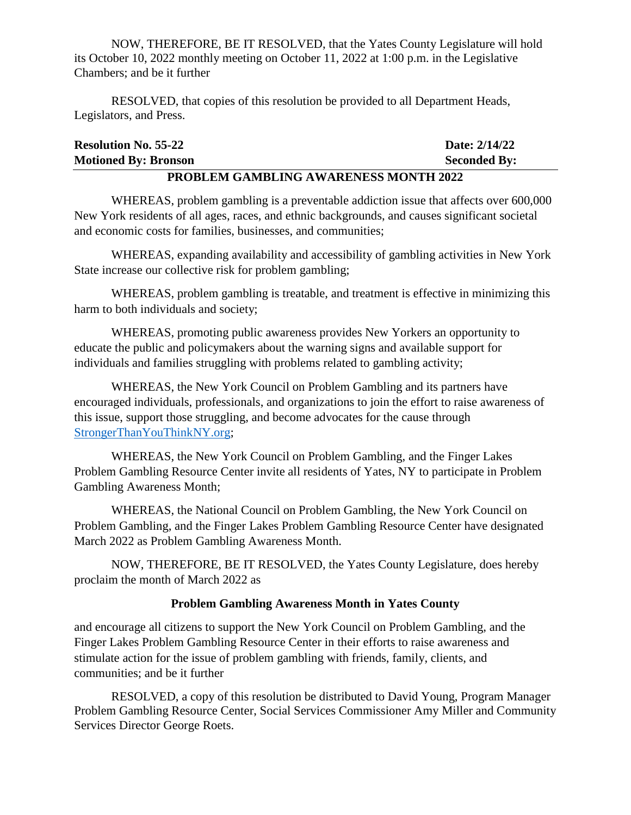NOW, THEREFORE, BE IT RESOLVED, that the Yates County Legislature will hold its October 10, 2022 monthly meeting on October 11, 2022 at 1:00 p.m. in the Legislative Chambers; and be it further

RESOLVED, that copies of this resolution be provided to all Department Heads, Legislators, and Press.

| <b>DDADI EM CAMDI INC AWADEMECC MANTH 2022</b> |                     |  |
|------------------------------------------------|---------------------|--|
| <b>Motioned By: Bronson</b>                    | <b>Seconded By:</b> |  |
| <b>Resolution No. 55-22</b>                    | Date: 2/14/22       |  |

#### **PROBLEM GAMBLING AWARENESS MONTH 2022**

WHEREAS, problem gambling is a preventable addiction issue that affects over 600,000 New York residents of all ages, races, and ethnic backgrounds, and causes significant societal and economic costs for families, businesses, and communities;

WHEREAS, expanding availability and accessibility of gambling activities in New York State increase our collective risk for problem gambling;

WHEREAS, problem gambling is treatable, and treatment is effective in minimizing this harm to both individuals and society;

WHEREAS, promoting public awareness provides New Yorkers an opportunity to educate the public and policymakers about the warning signs and available support for individuals and families struggling with problems related to gambling activity;

WHEREAS, the New York Council on Problem Gambling and its partners have encouraged individuals, professionals, and organizations to join the effort to raise awareness of this issue, support those struggling, and become advocates for the cause through [StrongerThanYouThinkNY.org;](https://strongerthanyouthinkny.org/)

WHEREAS, the New York Council on Problem Gambling, and the Finger Lakes Problem Gambling Resource Center invite all residents of Yates, NY to participate in Problem Gambling Awareness Month;

WHEREAS, the National Council on Problem Gambling, the New York Council on Problem Gambling, and the Finger Lakes Problem Gambling Resource Center have designated March 2022 as Problem Gambling Awareness Month.

NOW, THEREFORE, BE IT RESOLVED, the Yates County Legislature, does hereby proclaim the month of March 2022 as

#### **Problem Gambling Awareness Month in Yates County**

and encourage all citizens to support the New York Council on Problem Gambling, and the Finger Lakes Problem Gambling Resource Center in their efforts to raise awareness and stimulate action for the issue of problem gambling with friends, family, clients, and communities; and be it further

RESOLVED, a copy of this resolution be distributed to David Young, Program Manager Problem Gambling Resource Center, Social Services Commissioner Amy Miller and Community Services Director George Roets.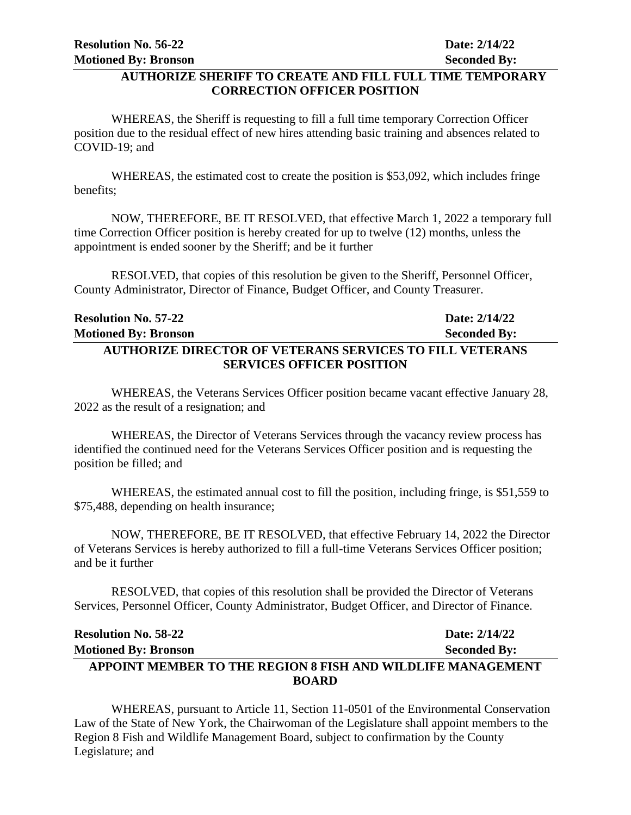#### **AUTHORIZE SHERIFF TO CREATE AND FILL FULL TIME TEMPORARY CORRECTION OFFICER POSITION**

WHEREAS, the Sheriff is requesting to fill a full time temporary Correction Officer position due to the residual effect of new hires attending basic training and absences related to COVID-19; and

WHEREAS, the estimated cost to create the position is \$53,092, which includes fringe benefits;

NOW, THEREFORE, BE IT RESOLVED, that effective March 1, 2022 a temporary full time Correction Officer position is hereby created for up to twelve (12) months, unless the appointment is ended sooner by the Sheriff; and be it further

RESOLVED, that copies of this resolution be given to the Sheriff, Personnel Officer, County Administrator, Director of Finance, Budget Officer, and County Treasurer.

| <b>Resolution No. 57-22</b>                                     | Date: 2/14/22       |
|-----------------------------------------------------------------|---------------------|
| <b>Motioned By: Bronson</b>                                     | <b>Seconded By:</b> |
| <b>AUTHORIZE DIRECTOR OF VETERANS SERVICES TO FILL VETERANS</b> |                     |
| <b>SERVICES OFFICER POSITION</b>                                |                     |

WHEREAS, the Veterans Services Officer position became vacant effective January 28, 2022 as the result of a resignation; and

WHEREAS, the Director of Veterans Services through the vacancy review process has identified the continued need for the Veterans Services Officer position and is requesting the position be filled; and

WHEREAS, the estimated annual cost to fill the position, including fringe, is \$51,559 to \$75,488, depending on health insurance;

NOW, THEREFORE, BE IT RESOLVED, that effective February 14, 2022 the Director of Veterans Services is hereby authorized to fill a full-time Veterans Services Officer position; and be it further

RESOLVED, that copies of this resolution shall be provided the Director of Veterans Services, Personnel Officer, County Administrator, Budget Officer, and Director of Finance.

| <b>Resolution No. 58-22</b>                                 | Date: 2/14/22       |
|-------------------------------------------------------------|---------------------|
| <b>Motioned By: Bronson</b>                                 | <b>Seconded By:</b> |
| APPOINT MEMBER TO THE REGION 8 FISH AND WILDLIFE MANAGEMENT |                     |
| <b>BOARD</b>                                                |                     |

WHEREAS, pursuant to Article 11, Section 11-0501 of the Environmental Conservation Law of the State of New York, the Chairwoman of the Legislature shall appoint members to the Region 8 Fish and Wildlife Management Board, subject to confirmation by the County Legislature; and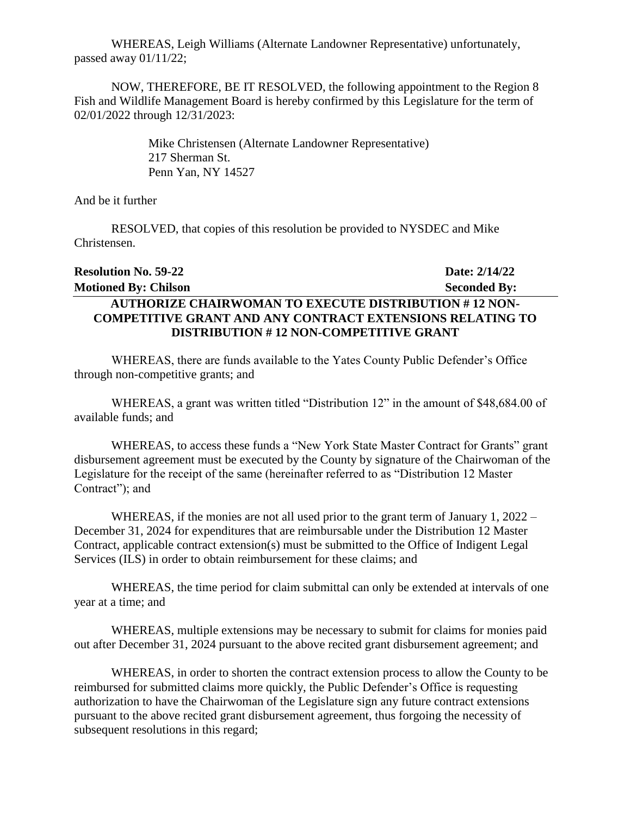WHEREAS, Leigh Williams (Alternate Landowner Representative) unfortunately, passed away 01/11/22;

NOW, THEREFORE, BE IT RESOLVED, the following appointment to the Region 8 Fish and Wildlife Management Board is hereby confirmed by this Legislature for the term of 02/01/2022 through 12/31/2023:

> Mike Christensen (Alternate Landowner Representative) 217 Sherman St. Penn Yan, NY 14527

And be it further

RESOLVED, that copies of this resolution be provided to NYSDEC and Mike Christensen.

| <b>Resolution No. 59-22</b>                                      | Date: 2/14/22       |
|------------------------------------------------------------------|---------------------|
| <b>Motioned By: Chilson</b>                                      | <b>Seconded By:</b> |
| <b>AUTHORIZE CHAIRWOMAN TO EXECUTE DISTRIBUTION #12 NON-</b>     |                     |
| <b>COMPETITIVE GRANT AND ANY CONTRACT EXTENSIONS RELATING TO</b> |                     |
| <b>DISTRIBUTION #12 NON-COMPETITIVE GRANT</b>                    |                     |

WHEREAS, there are funds available to the Yates County Public Defender's Office through non-competitive grants; and

WHEREAS, a grant was written titled "Distribution 12" in the amount of \$48,684.00 of available funds; and

WHEREAS, to access these funds a "New York State Master Contract for Grants" grant disbursement agreement must be executed by the County by signature of the Chairwoman of the Legislature for the receipt of the same (hereinafter referred to as "Distribution 12 Master Contract"); and

WHEREAS, if the monies are not all used prior to the grant term of January 1, 2022 – December 31, 2024 for expenditures that are reimbursable under the Distribution 12 Master Contract, applicable contract extension(s) must be submitted to the Office of Indigent Legal Services (ILS) in order to obtain reimbursement for these claims; and

WHEREAS, the time period for claim submittal can only be extended at intervals of one year at a time; and

WHEREAS, multiple extensions may be necessary to submit for claims for monies paid out after December 31, 2024 pursuant to the above recited grant disbursement agreement; and

WHEREAS, in order to shorten the contract extension process to allow the County to be reimbursed for submitted claims more quickly, the Public Defender's Office is requesting authorization to have the Chairwoman of the Legislature sign any future contract extensions pursuant to the above recited grant disbursement agreement, thus forgoing the necessity of subsequent resolutions in this regard;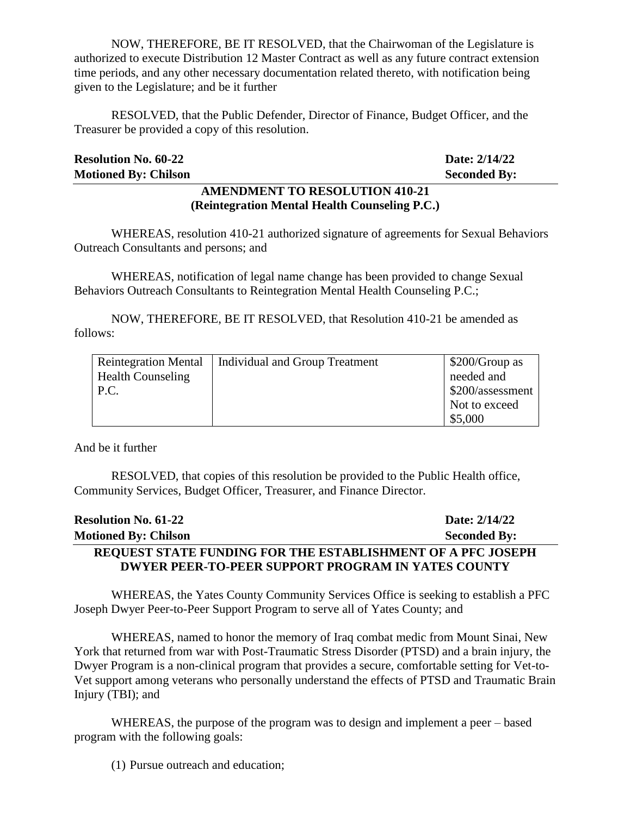NOW, THEREFORE, BE IT RESOLVED, that the Chairwoman of the Legislature is authorized to execute Distribution 12 Master Contract as well as any future contract extension time periods, and any other necessary documentation related thereto, with notification being given to the Legislature; and be it further

RESOLVED, that the Public Defender, Director of Finance, Budget Officer, and the Treasurer be provided a copy of this resolution.

| <b>Resolution No. 60-22</b> |                                       | Date: 2/14/22       |
|-----------------------------|---------------------------------------|---------------------|
| <b>Motioned By: Chilson</b> |                                       | <b>Seconded By:</b> |
|                             | <b>AMENDMENT TO RESOLUTION 410-21</b> |                     |

**(Reintegration Mental Health Counseling P.C.)**

WHEREAS, resolution 410-21 authorized signature of agreements for Sexual Behaviors Outreach Consultants and persons; and

WHEREAS, notification of legal name change has been provided to change Sexual Behaviors Outreach Consultants to Reintegration Mental Health Counseling P.C.;

NOW, THEREFORE, BE IT RESOLVED, that Resolution 410-21 be amended as follows:

| <b>Reintegration Mental</b> | Individual and Group Treatment | \$200/Group as   |
|-----------------------------|--------------------------------|------------------|
| <b>Health Counseling</b>    |                                | needed and       |
| P.C.                        |                                | \$200/assessment |
|                             |                                | Not to exceed    |
|                             |                                | \$5,000          |

And be it further

RESOLVED, that copies of this resolution be provided to the Public Health office, Community Services, Budget Officer, Treasurer, and Finance Director.

| <b>Resolution No. 61-22</b>                                 | Date: 2/14/22       |
|-------------------------------------------------------------|---------------------|
| <b>Motioned By: Chilson</b>                                 | <b>Seconded By:</b> |
| REQUEST STATE FUNDING FOR THE ESTABLISHMENT OF A PFC JOSEPH |                     |
| <b>DWYER PEER-TO-PEER SUPPORT PROGRAM IN YATES COUNTY</b>   |                     |

WHEREAS, the Yates County Community Services Office is seeking to establish a PFC Joseph Dwyer Peer-to-Peer Support Program to serve all of Yates County; and

WHEREAS, named to honor the memory of Iraq combat medic from Mount Sinai, New York that returned from war with Post-Traumatic Stress Disorder (PTSD) and a brain injury, the Dwyer Program is a non-clinical program that provides a secure, comfortable setting for Vet-to-Vet support among veterans who personally understand the effects of PTSD and Traumatic Brain Injury (TBI); and

WHEREAS, the purpose of the program was to design and implement a peer – based program with the following goals:

(1) Pursue outreach and education;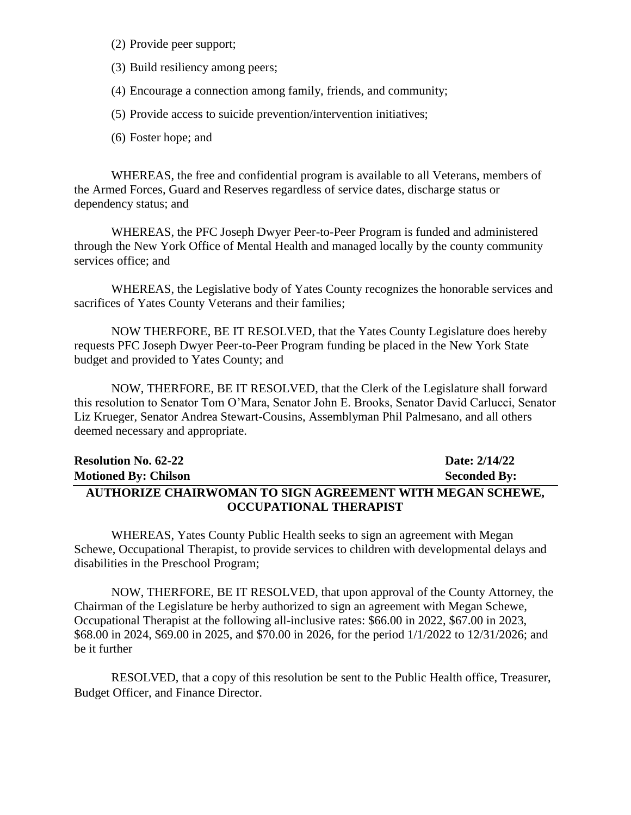- (2) Provide peer support;
- (3) Build resiliency among peers;
- (4) Encourage a connection among family, friends, and community;
- (5) Provide access to suicide prevention/intervention initiatives;
- (6) Foster hope; and

WHEREAS, the free and confidential program is available to all Veterans, members of the Armed Forces, Guard and Reserves regardless of service dates, discharge status or dependency status; and

WHEREAS, the PFC Joseph Dwyer Peer-to-Peer Program is funded and administered through the New York Office of Mental Health and managed locally by the county community services office; and

WHEREAS, the Legislative body of Yates County recognizes the honorable services and sacrifices of Yates County Veterans and their families;

NOW THERFORE, BE IT RESOLVED, that the Yates County Legislature does hereby requests PFC Joseph Dwyer Peer-to-Peer Program funding be placed in the New York State budget and provided to Yates County; and

NOW, THERFORE, BE IT RESOLVED, that the Clerk of the Legislature shall forward this resolution to Senator Tom O'Mara, Senator John E. Brooks, Senator David Carlucci, Senator Liz Krueger, Senator Andrea Stewart-Cousins, Assemblyman Phil Palmesano, and all others deemed necessary and appropriate.

| <b>Resolution No. 62-22</b>                                      | Date: 2/14/22       |
|------------------------------------------------------------------|---------------------|
| <b>Motioned By: Chilson</b>                                      | <b>Seconded By:</b> |
| <b>AUTHORIZE CHAIRWOMAN TO SIGN AGREEMENT WITH MEGAN SCHEWE,</b> |                     |
| OCCUPATIONAL THERAPIST                                           |                     |

WHEREAS, Yates County Public Health seeks to sign an agreement with Megan Schewe, Occupational Therapist, to provide services to children with developmental delays and disabilities in the Preschool Program;

NOW, THERFORE, BE IT RESOLVED, that upon approval of the County Attorney, the Chairman of the Legislature be herby authorized to sign an agreement with Megan Schewe, Occupational Therapist at the following all-inclusive rates: \$66.00 in 2022, \$67.00 in 2023, \$68.00 in 2024, \$69.00 in 2025, and \$70.00 in 2026, for the period 1/1/2022 to 12/31/2026; and be it further

RESOLVED, that a copy of this resolution be sent to the Public Health office, Treasurer, Budget Officer, and Finance Director.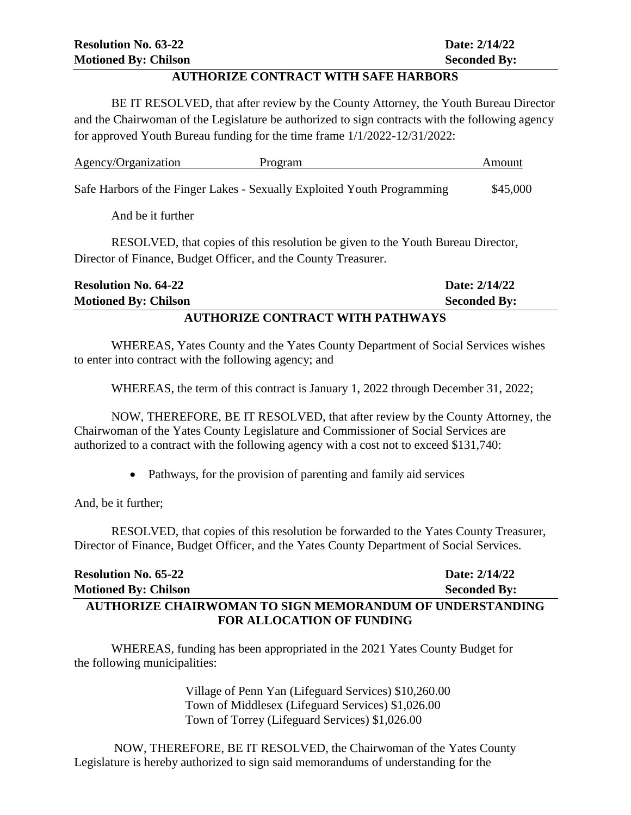#### **AUTHORIZE CONTRACT WITH SAFE HARBORS**

BE IT RESOLVED, that after review by the County Attorney, the Youth Bureau Director and the Chairwoman of the Legislature be authorized to sign contracts with the following agency for approved Youth Bureau funding for the time frame 1/1/2022-12/31/2022:

| Agency/Organization | Program                                                                 | Amount   |
|---------------------|-------------------------------------------------------------------------|----------|
|                     | Safe Harbors of the Finger Lakes - Sexually Exploited Youth Programming | \$45,000 |

And be it further

RESOLVED, that copies of this resolution be given to the Youth Bureau Director, Director of Finance, Budget Officer, and the County Treasurer.

| <b>Resolution No. 64-22</b>                      | Date: 2/14/22       |  |
|--------------------------------------------------|---------------------|--|
| <b>Motioned By: Chilson</b>                      | <b>Seconded By:</b> |  |
| <u>I URILODIZE CONTROL OR WIRD DI RIWI NA 20</u> |                     |  |

#### **AUTHORIZE CONTRACT WITH PATHWAYS**

WHEREAS, Yates County and the Yates County Department of Social Services wishes to enter into contract with the following agency; and

WHEREAS, the term of this contract is January 1, 2022 through December 31, 2022;

NOW, THEREFORE, BE IT RESOLVED, that after review by the County Attorney, the Chairwoman of the Yates County Legislature and Commissioner of Social Services are authorized to a contract with the following agency with a cost not to exceed \$131,740:

• Pathways, for the provision of parenting and family aid services

And, be it further;

RESOLVED, that copies of this resolution be forwarded to the Yates County Treasurer, Director of Finance, Budget Officer, and the Yates County Department of Social Services.

| <b>Resolution No. 65-22</b>                              | Date: 2/14/22       |
|----------------------------------------------------------|---------------------|
| <b>Motioned By: Chilson</b>                              | <b>Seconded By:</b> |
| AUTHORIZE CHAIRWOMAN TO SIGN MEMORANDUM OF UNDERSTANDING |                     |
| <b>FOR ALLOCATION OF FUNDING</b>                         |                     |

WHEREAS, funding has been appropriated in the 2021 Yates County Budget for the following municipalities:

> Village of Penn Yan (Lifeguard Services) \$10,260.00 Town of Middlesex (Lifeguard Services) \$1,026.00 Town of Torrey (Lifeguard Services) \$1,026.00

NOW, THEREFORE, BE IT RESOLVED, the Chairwoman of the Yates County Legislature is hereby authorized to sign said memorandums of understanding for the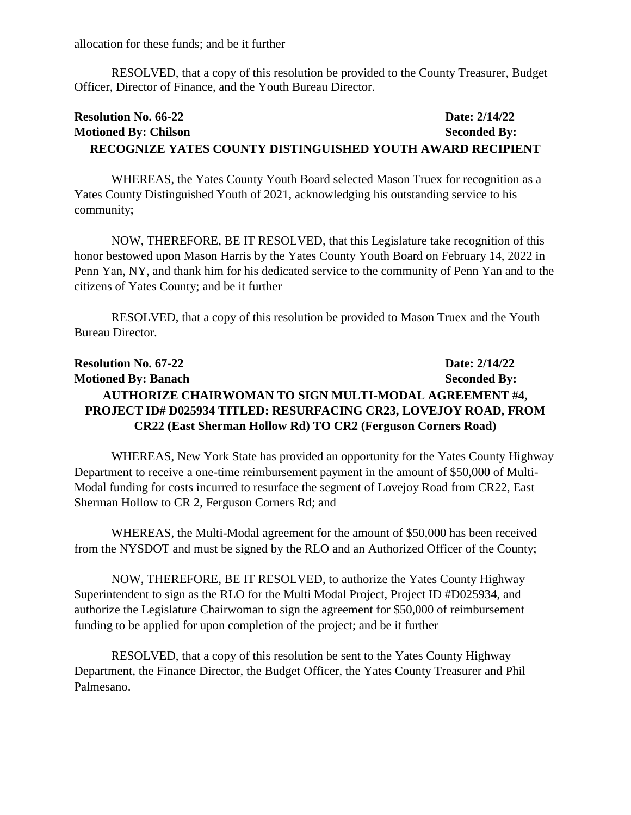allocation for these funds; and be it further

RESOLVED, that a copy of this resolution be provided to the County Treasurer, Budget Officer, Director of Finance, and the Youth Bureau Director.

| <b>Resolution No. 66-22</b>                                | Date: 2/14/22       |
|------------------------------------------------------------|---------------------|
| <b>Motioned By: Chilson</b>                                | <b>Seconded By:</b> |
| RECOGNIZE YATES COUNTY DISTINGUISHED YOUTH AWARD RECIPIENT |                     |

WHEREAS, the Yates County Youth Board selected Mason Truex for recognition as a Yates County Distinguished Youth of 2021, acknowledging his outstanding service to his community;

NOW, THEREFORE, BE IT RESOLVED, that this Legislature take recognition of this honor bestowed upon Mason Harris by the Yates County Youth Board on February 14, 2022 in Penn Yan, NY, and thank him for his dedicated service to the community of Penn Yan and to the citizens of Yates County; and be it further

RESOLVED, that a copy of this resolution be provided to Mason Truex and the Youth Bureau Director.

| <b>Resolution No. 67-22</b>                                         | Date: 2/14/22       |
|---------------------------------------------------------------------|---------------------|
| <b>Motioned By: Banach</b>                                          | <b>Seconded By:</b> |
| AUTHORIZE CHAIRWOMAN TO SIGN MULTI-MODAL AGREEMENT #4,              |                     |
| PROJECT ID# D025934 TITLED: RESURFACING CR23, LOVEJOY ROAD, FROM    |                     |
| <b>CR22 (East Sherman Hollow Rd) TO CR2 (Ferguson Corners Road)</b> |                     |

WHEREAS, New York State has provided an opportunity for the Yates County Highway Department to receive a one-time reimbursement payment in the amount of \$50,000 of Multi-Modal funding for costs incurred to resurface the segment of Lovejoy Road from CR22, East Sherman Hollow to CR 2, Ferguson Corners Rd; and

WHEREAS, the Multi-Modal agreement for the amount of \$50,000 has been received from the NYSDOT and must be signed by the RLO and an Authorized Officer of the County;

NOW, THEREFORE, BE IT RESOLVED, to authorize the Yates County Highway Superintendent to sign as the RLO for the Multi Modal Project, Project ID #D025934, and authorize the Legislature Chairwoman to sign the agreement for \$50,000 of reimbursement funding to be applied for upon completion of the project; and be it further

RESOLVED, that a copy of this resolution be sent to the Yates County Highway Department, the Finance Director, the Budget Officer, the Yates County Treasurer and Phil Palmesano.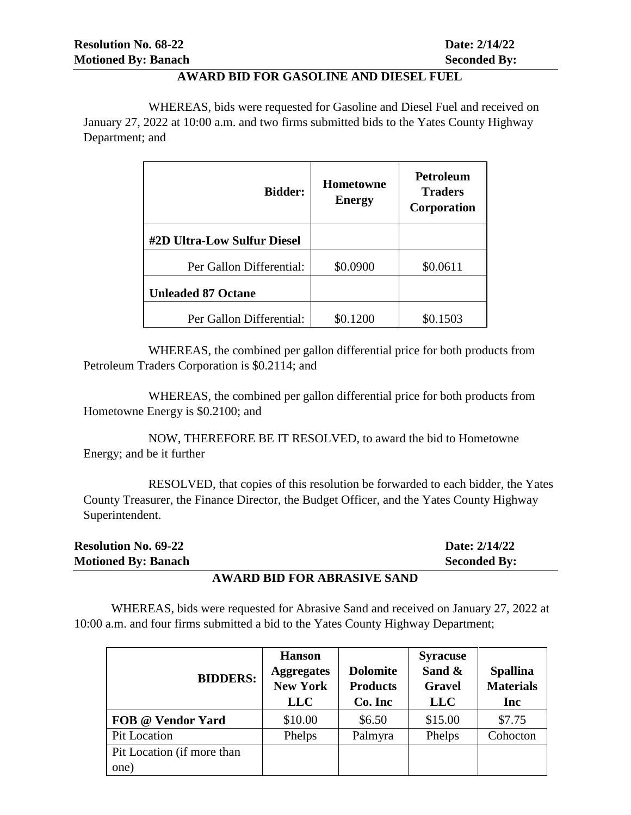#### **AWARD BID FOR GASOLINE AND DIESEL FUEL**

WHEREAS, bids were requested for Gasoline and Diesel Fuel and received on January 27, 2022 at 10:00 a.m. and two firms submitted bids to the Yates County Highway Department; and

| <b>Bidder:</b>              | Hometowne<br><b>Energy</b> | <b>Petroleum</b><br><b>Traders</b><br>Corporation |
|-----------------------------|----------------------------|---------------------------------------------------|
| #2D Ultra-Low Sulfur Diesel |                            |                                                   |
| Per Gallon Differential:    | \$0.0900                   | \$0.0611                                          |
| <b>Unleaded 87 Octane</b>   |                            |                                                   |
| Per Gallon Differential:    | \$0.1200                   | \$0.1503                                          |

WHEREAS, the combined per gallon differential price for both products from Petroleum Traders Corporation is \$0.2114; and

WHEREAS, the combined per gallon differential price for both products from Hometowne Energy is \$0.2100; and

NOW, THEREFORE BE IT RESOLVED, to award the bid to Hometowne Energy; and be it further

 RESOLVED, that copies of this resolution be forwarded to each bidder, the Yates County Treasurer, the Finance Director, the Budget Officer, and the Yates County Highway Superintendent.

| <b>Resolution No. 69-22</b> | Date: 2/14/22       |
|-----------------------------|---------------------|
| <b>Motioned By: Banach</b>  | <b>Seconded By:</b> |
|                             |                     |

#### **AWARD BID FOR ABRASIVE SAND**

WHEREAS, bids were requested for Abrasive Sand and received on January 27, 2022 at 10:00 a.m. and four firms submitted a bid to the Yates County Highway Department;

| <b>BIDDERS:</b>            | <b>Hanson</b><br><b>Aggregates</b><br><b>New York</b><br><b>LLC</b> | <b>Dolomite</b><br><b>Products</b><br>Co. Inc | <b>Syracuse</b><br>Sand &<br><b>Gravel</b><br><b>LLC</b> | <b>Spallina</b><br><b>Materials</b><br>Inc |
|----------------------------|---------------------------------------------------------------------|-----------------------------------------------|----------------------------------------------------------|--------------------------------------------|
| FOB @ Vendor Yard          | \$10.00                                                             | \$6.50                                        | \$15.00                                                  | \$7.75                                     |
| <b>Pit Location</b>        | Phelps                                                              | Palmyra                                       | Phelps                                                   | Cohocton                                   |
| Pit Location (if more than |                                                                     |                                               |                                                          |                                            |
| one)                       |                                                                     |                                               |                                                          |                                            |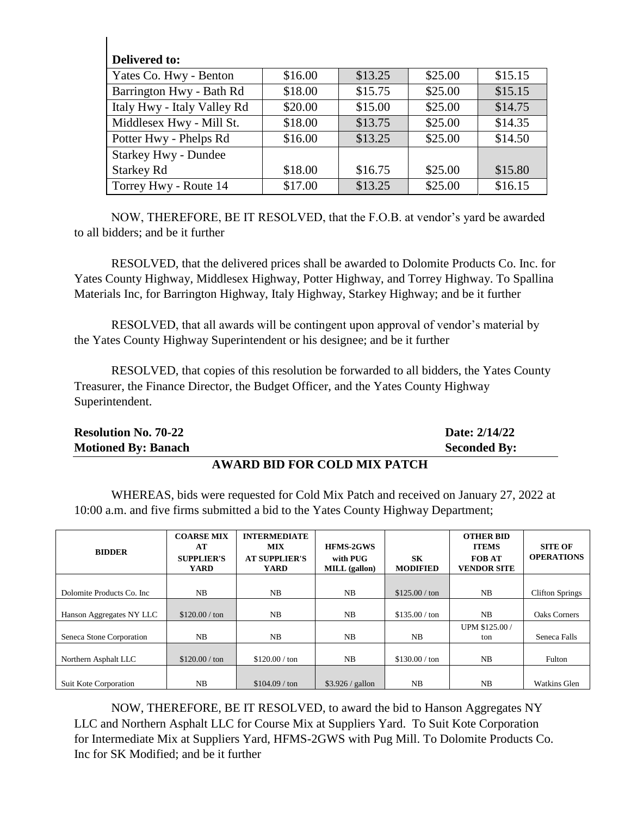| Delivered to:               |         |         |         |         |
|-----------------------------|---------|---------|---------|---------|
| Yates Co. Hwy - Benton      | \$16.00 | \$13.25 | \$25.00 | \$15.15 |
| Barrington Hwy - Bath Rd    | \$18.00 | \$15.75 | \$25.00 | \$15.15 |
| Italy Hwy - Italy Valley Rd | \$20.00 | \$15.00 | \$25.00 | \$14.75 |
| Middlesex Hwy - Mill St.    | \$18.00 | \$13.75 | \$25.00 | \$14.35 |
| Potter Hwy - Phelps Rd      | \$16.00 | \$13.25 | \$25.00 | \$14.50 |
| <b>Starkey Hwy - Dundee</b> |         |         |         |         |
| <b>Starkey Rd</b>           | \$18.00 | \$16.75 | \$25.00 | \$15.80 |
| Torrey Hwy - Route 14       | \$17.00 | \$13.25 | \$25.00 | \$16.15 |

 $\mathsf{I}$ 

NOW, THEREFORE, BE IT RESOLVED, that the F.O.B. at vendor's yard be awarded to all bidders; and be it further

RESOLVED, that the delivered prices shall be awarded to Dolomite Products Co. Inc. for Yates County Highway, Middlesex Highway, Potter Highway, and Torrey Highway. To Spallina Materials Inc, for Barrington Highway, Italy Highway, Starkey Highway; and be it further

RESOLVED, that all awards will be contingent upon approval of vendor's material by the Yates County Highway Superintendent or his designee; and be it further

RESOLVED, that copies of this resolution be forwarded to all bidders, the Yates County Treasurer, the Finance Director, the Budget Officer, and the Yates County Highway Superintendent.

| <b>Motioned By: Banach</b>  | <b>Seconded By:</b> |
|-----------------------------|---------------------|
| <b>Resolution No. 70-22</b> | Date: 2/14/22       |

#### **AWARD BID FOR COLD MIX PATCH**

WHEREAS, bids were requested for Cold Mix Patch and received on January 27, 2022 at 10:00 a.m. and five firms submitted a bid to the Yates County Highway Department;

| <b>BIDDER</b>              | <b>COARSE MIX</b><br>AT<br><b>SUPPLIER'S</b><br><b>YARD</b> | <b>INTERMEDIATE</b><br><b>MIX</b><br><b>AT SUPPLIER'S</b><br><b>YARD</b> | <b>HFMS-2GWS</b><br>with PUG<br>MILL (gallon) | SK<br><b>MODIFIED</b> | <b>OTHER BID</b><br><b>ITEMS</b><br><b>FOB AT</b><br><b>VENDOR SITE</b> | <b>SITE OF</b><br><b>OPERATIONS</b> |
|----------------------------|-------------------------------------------------------------|--------------------------------------------------------------------------|-----------------------------------------------|-----------------------|-------------------------------------------------------------------------|-------------------------------------|
|                            |                                                             |                                                                          |                                               |                       |                                                                         |                                     |
| Dolomite Products Co. Inc. | NB                                                          | NB                                                                       | NB                                            | \$125.00 / ton        | NB                                                                      | <b>Clifton Springs</b>              |
|                            |                                                             |                                                                          |                                               |                       |                                                                         |                                     |
| Hanson Aggregates NY LLC   | $$120.00 / \text{ton}$                                      | NB                                                                       | NB                                            | \$135.00 / ton        | NB.                                                                     | <b>Oaks Corners</b>                 |
|                            |                                                             |                                                                          |                                               |                       | UPM \$125.00 /                                                          |                                     |
| Seneca Stone Corporation   | NB                                                          | NB                                                                       | NB                                            | NB                    | ton                                                                     | Seneca Falls                        |
|                            |                                                             |                                                                          |                                               |                       |                                                                         |                                     |
| Northern Asphalt LLC       | \$120.00 / ton                                              | \$120.00 / ton                                                           | NB                                            | \$130.00 / ton        | NB                                                                      | Fulton                              |
|                            |                                                             |                                                                          |                                               |                       |                                                                         |                                     |
| Suit Kote Corporation      | NB                                                          | \$104.09 / ton                                                           | $$3.926 /$ gallon                             | N <sub>B</sub>        | N <sub>B</sub>                                                          | <b>Watkins Glen</b>                 |

NOW, THEREFORE, BE IT RESOLVED, to award the bid to Hanson Aggregates NY LLC and Northern Asphalt LLC for Course Mix at Suppliers Yard. To Suit Kote Corporation for Intermediate Mix at Suppliers Yard, HFMS-2GWS with Pug Mill. To Dolomite Products Co. Inc for SK Modified; and be it further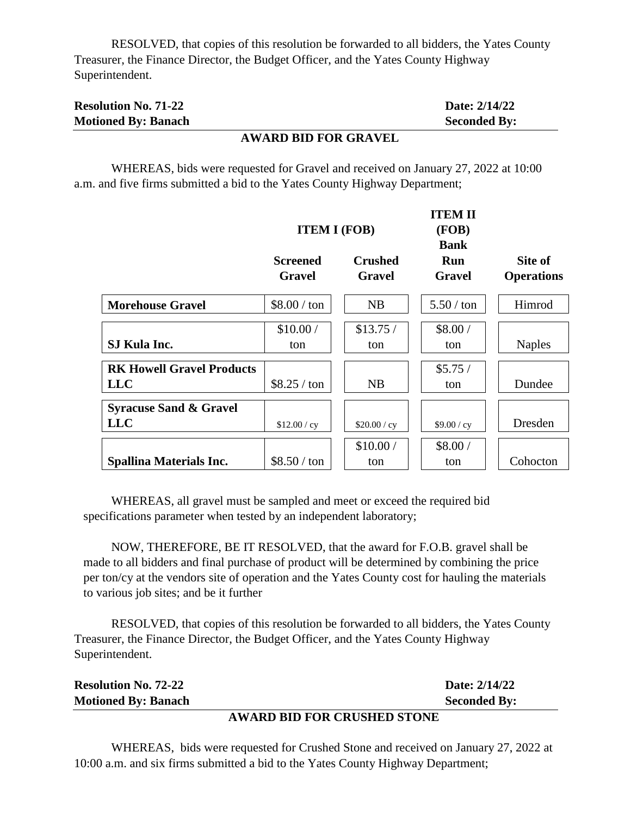RESOLVED, that copies of this resolution be forwarded to all bidders, the Yates County Treasurer, the Finance Director, the Budget Officer, and the Yates County Highway Superintendent.

| <b>Resolution No. 71-22</b> | Date: 2/14/22       |
|-----------------------------|---------------------|
| <b>Motioned By: Banach</b>  | <b>Seconded By:</b> |

#### **AWARD BID FOR GRAVEL**

WHEREAS, bids were requested for Gravel and received on January 27, 2022 at 10:00 a.m. and five firms submitted a bid to the Yates County Highway Department;

|                                                 |                                  | <b>ITEM I (FOB)</b>      | <b>ITEM II</b><br>(FOB)<br><b>Bank</b> |                              |
|-------------------------------------------------|----------------------------------|--------------------------|----------------------------------------|------------------------------|
|                                                 | <b>Screened</b><br><b>Gravel</b> | <b>Crushed</b><br>Gravel | Run<br><b>Gravel</b>                   | Site of<br><b>Operations</b> |
| <b>Morehouse Gravel</b>                         | $$8.00 / \text{ton}$             | NB                       | $5.50/$ ton                            | Himrod                       |
| SJ Kula Inc.                                    | \$10.00/<br>ton                  | \$13.75/<br>ton          | \$8.00/<br>ton                         | <b>Naples</b>                |
| <b>RK Howell Gravel Products</b><br><b>LLC</b>  | \$8.25 / ton                     | NB                       | \$5.75/<br>ton                         | Dundee                       |
| <b>Syracuse Sand &amp; Gravel</b><br><b>LLC</b> | \$12.00 / cy                     | \$20.00 / cy             | \$9.00 / cy                            | Dresden                      |
| <b>Spallina Materials Inc.</b>                  | $$8.50 / \text{ton}$             | \$10.00/<br>ton          | \$8.00/<br>ton                         | Cohocton                     |

WHEREAS, all gravel must be sampled and meet or exceed the required bid specifications parameter when tested by an independent laboratory;

NOW, THEREFORE, BE IT RESOLVED, that the award for F.O.B. gravel shall be made to all bidders and final purchase of product will be determined by combining the price per ton/cy at the vendors site of operation and the Yates County cost for hauling the materials to various job sites; and be it further

RESOLVED, that copies of this resolution be forwarded to all bidders, the Yates County Treasurer, the Finance Director, the Budget Officer, and the Yates County Highway Superintendent.

|                             | UU DR BIR BOR ARHAIIRR AHOMB |                     |
|-----------------------------|------------------------------|---------------------|
| <b>Motioned By: Banach</b>  |                              | <b>Seconded By:</b> |
| <b>Resolution No. 72-22</b> |                              | Date: 2/14/22       |

#### **AWARD BID FOR CRUSHED STONE**

WHEREAS, bids were requested for Crushed Stone and received on January 27, 2022 at 10:00 a.m. and six firms submitted a bid to the Yates County Highway Department;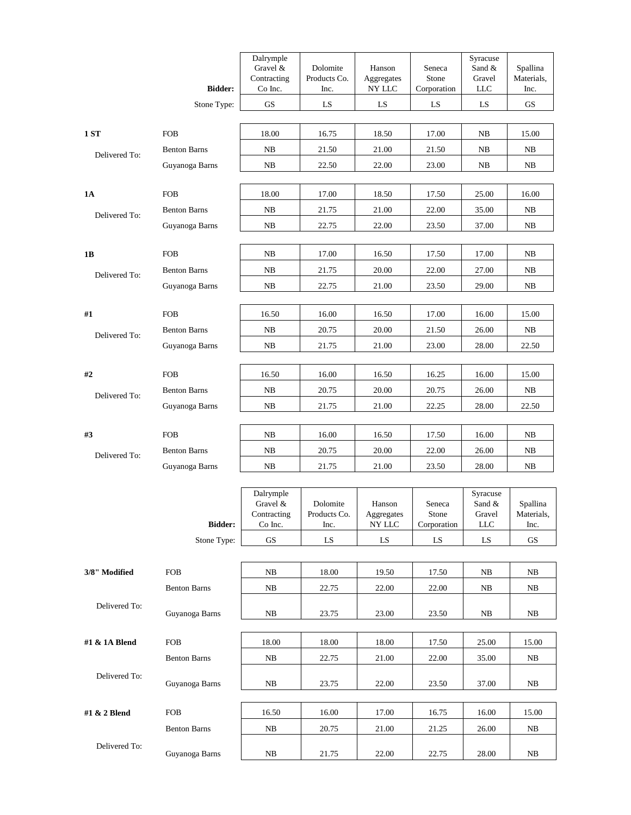|               |                     | Dalrymple<br>Gravel &  | Dolomite             | Hanson                                                     | Seneca               | Syracuse<br>Sand &   | Spallina           |
|---------------|---------------------|------------------------|----------------------|------------------------------------------------------------|----------------------|----------------------|--------------------|
|               |                     | Contracting            | Products Co.         | Aggregates                                                 | Stone                | Gravel               | Materials,         |
|               | <b>Bidder:</b>      | Co Inc.<br><b>GS</b>   | Inc.<br>LS           | NY LLC<br>LS                                               | Corporation<br>LS    | $LLC$<br>LS          | Inc.<br>${\rm GS}$ |
|               | Stone Type:         |                        |                      |                                                            |                      |                      |                    |
| 1 ST          | <b>FOB</b>          | 18.00                  | 16.75                | 18.50                                                      | 17.00                | $_{\rm NB}$          | 15.00              |
| Delivered To: | <b>Benton Barns</b> | NB                     | 21.50                | 21.00                                                      | 21.50                | NB                   | NB                 |
|               | Guyanoga Barns      | NB.                    | 22.50                | 22.00                                                      | 23.00                | <b>NB</b>            | NB                 |
|               |                     |                        |                      |                                                            |                      |                      |                    |
| 1A            | <b>FOB</b>          | 18.00                  | 17.00                | 18.50                                                      | 17.50                | 25.00                | 16.00              |
| Delivered To: | <b>Benton Barns</b> | NB                     | 21.75                | 21.00                                                      | 22.00                | 35.00                | NB                 |
|               | Guyanoga Barns      | NB                     | 22.75                | 22.00                                                      | 23.50                | 37.00                | NB                 |
|               |                     |                        |                      |                                                            |                      |                      |                    |
| 1B            | <b>FOB</b>          | NB                     | 17.00                | 16.50                                                      | 17.50                | 17.00                | NB                 |
| Delivered To: | <b>Benton Barns</b> | NB                     | 21.75                | 20.00                                                      | 22.00                | 27.00                | NB                 |
|               | Guyanoga Barns      | NB                     | 22.75                | 21.00                                                      | 23.50                | 29.00                | NB                 |
| #1            | <b>FOB</b>          | 16.50                  | 16.00                | 16.50                                                      | 17.00                | 16.00                | 15.00              |
|               | <b>Benton Barns</b> | NB                     | 20.75                | 20.00                                                      | 21.50                | 26.00                | NB                 |
| Delivered To: | Guyanoga Barns      | NB                     | 21.75                | 21.00                                                      | 23.00                | 28.00                | 22.50              |
|               |                     |                        |                      |                                                            |                      |                      |                    |
| #2            | <b>FOB</b>          | 16.50                  | 16.00                | 16.50                                                      | 16.25                | 16.00                | 15.00              |
| Delivered To: | <b>Benton Barns</b> | NB                     | 20.75                | 20.00                                                      | 20.75                | 26.00                | NB                 |
|               | Guyanoga Barns      | NB                     | 21.75                | 21.00                                                      | 22.25                | 28.00                | 22.50              |
|               |                     |                        |                      |                                                            |                      |                      |                    |
| #3            | <b>FOB</b>          | NB                     | 16.00                | 16.50                                                      | 17.50                | 16.00                | NB                 |
| Delivered To: | <b>Benton Barns</b> | NB                     | 20.75                | 20.00                                                      | 22.00                | 26.00                | NB                 |
|               | Guyanoga Barns      | NB                     | 21.75                | 21.00                                                      | 23.50                | 28.00                | NB                 |
|               |                     | Dalrymple              |                      |                                                            |                      | Syracuse             |                    |
|               |                     | Gravel &               | Dolomite             | Hanson                                                     | Seneca               | Sand &               | Spallina           |
|               | <b>Bidder:</b>      | Contracting<br>Co Inc. | Products Co.<br>Inc. | $\label{eq:aggegates} \operatorname{Aggregates}$<br>NY LLC | Stone<br>Corporation | Gravel<br><b>LLC</b> | Materials,<br>Inc. |
|               | Stone Type:         | GS                     | LS                   | LS                                                         | LS                   | LS                   | GS                 |
|               |                     |                        |                      |                                                            |                      |                      |                    |
| 3/8" Modified | <b>FOB</b>          | NB                     | 18.00                | 19.50                                                      | 17.50                | NB                   | NB                 |
|               | <b>Benton Barns</b> | NB                     | 22.75                | 22.00                                                      | 22.00                | NB                   | NB                 |
| Delivered To: |                     |                        |                      |                                                            |                      |                      |                    |
|               | Guyanoga Barns      | NB                     | 23.75                | 23.00                                                      | 23.50                | NB                   | NB                 |
| #1 & 1A Blend | <b>FOB</b>          | 18.00                  | 18.00                | 18.00                                                      | 17.50                | 25.00                | 15.00              |
|               | <b>Benton Barns</b> | NB                     | 22.75                | 21.00                                                      | 22.00                | 35.00                | NB                 |
| Delivered To: |                     |                        |                      |                                                            |                      |                      |                    |
|               | Guyanoga Barns      | NB                     | 23.75                | 22.00                                                      | 23.50                | 37.00                | NB                 |
|               |                     |                        |                      |                                                            |                      |                      |                    |
| #1 & 2 Blend  | <b>FOB</b>          | 16.50                  | 16.00                | 17.00                                                      | 16.75                | 16.00                | 15.00              |
|               | <b>Benton Barns</b> | NB                     | 20.75                | 21.00                                                      | 21.25                | 26.00                | NB                 |
| Delivered To: | Guyanoga Barns      | NB                     | 21.75                | 22.00                                                      | 22.75                | 28.00                | NB                 |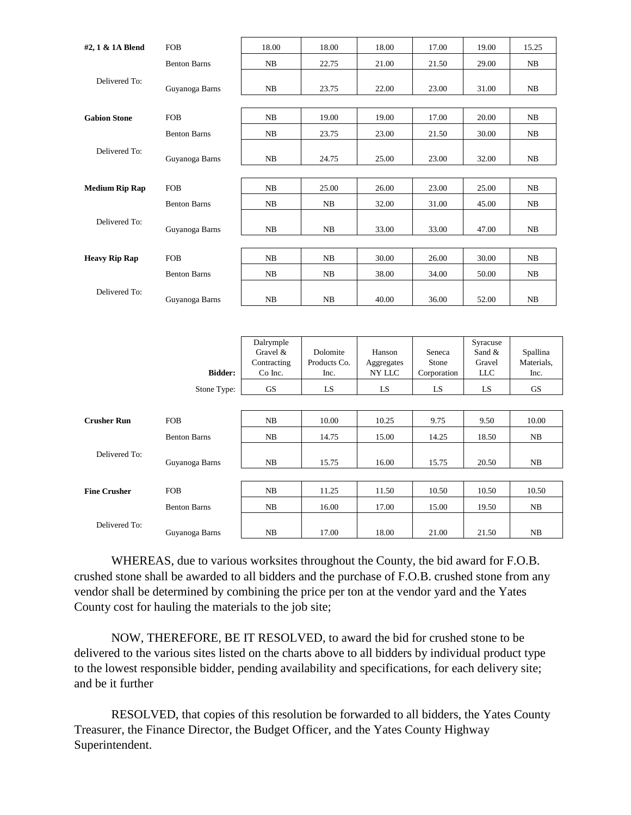| #2, 1 & 1A Blend      | <b>FOB</b>          | 18.00                                           | 18.00                            | 18.00                          | 17.00                          | 19.00                               | 15.25                          |
|-----------------------|---------------------|-------------------------------------------------|----------------------------------|--------------------------------|--------------------------------|-------------------------------------|--------------------------------|
|                       | <b>Benton Barns</b> | NB                                              | 22.75                            | 21.00                          | 21.50                          | 29.00                               | NB                             |
| Delivered To:         | Guyanoga Barns      | NB                                              | 23.75                            | 22.00                          | 23.00                          | 31.00                               | NB                             |
| <b>Gabion Stone</b>   | <b>FOB</b>          | NB                                              | 19.00                            | 19.00                          | 17.00                          | 20.00                               | NB                             |
|                       | <b>Benton Barns</b> | NB                                              | 23.75                            | 23.00                          | 21.50                          | 30.00                               | NB                             |
| Delivered To:         | Guyanoga Barns      | NB                                              | 24.75                            | 25.00                          | 23.00                          | 32.00                               | NB                             |
| <b>Medium Rip Rap</b> | <b>FOB</b>          | ${\rm NB}$                                      | 25.00                            | 26.00                          | 23.00                          | 25.00                               | NB                             |
|                       | <b>Benton Barns</b> | NB                                              | NB                               | 32.00                          | 31.00                          | 45.00                               | NB                             |
| Delivered To:         | Guyanoga Barns      | NB                                              | NB                               | 33.00                          | 33.00                          | 47.00                               | NB                             |
| <b>Heavy Rip Rap</b>  | <b>FOB</b>          | NB                                              | NB                               | 30.00                          | 26.00                          | 30.00                               | NB                             |
|                       | <b>Benton Barns</b> | NB                                              | NB                               | 38.00                          | 34.00                          | 50.00                               | NB                             |
| Delivered To:         | Guyanoga Barns      | NB                                              | NB                               | 40.00                          | 36.00                          | 52.00                               | NB                             |
|                       |                     |                                                 |                                  |                                |                                |                                     |                                |
|                       | <b>Bidder:</b>      | Dalrymple<br>Gravel &<br>Contracting<br>Co Inc. | Dolomite<br>Products Co.<br>Inc. | Hanson<br>Aggregates<br>NY LLC | Seneca<br>Stone<br>Corporation | Syracuse<br>Sand &<br>Gravel<br>LLC | Spallina<br>Materials,<br>Inc. |
|                       | Stone Type:         | <b>GS</b>                                       | LS                               | LS                             | LS                             | LS                                  | <b>GS</b>                      |
|                       |                     |                                                 |                                  |                                |                                |                                     |                                |
| <b>Crusher Run</b>    | <b>FOB</b>          | NB                                              | 10.00                            | 10.25                          | 9.75                           | 9.50                                | 10.00                          |
|                       | <b>Benton Barns</b> | NB                                              | 14.75                            | 15.00                          | 14.25                          | 18.50                               | NB                             |
| Delivered To:         | Guyanoga Barns      | NB                                              | 15.75                            | 16.00                          | 15.75                          | 20.50                               | NB                             |
|                       |                     |                                                 |                                  |                                |                                |                                     |                                |
| <b>Fine Crusher</b>   | <b>FOB</b>          | NB                                              | 11.25                            | 11.50                          | 10.50                          | 10.50                               | 10.50                          |
|                       | <b>Benton Barns</b> | NB                                              | 16.00                            | 17.00                          | 15.00                          | 19.50                               | NB                             |
| Delivered To:         | Guyanoga Barns      | NB                                              | 17.00                            | 18.00                          | 21.00                          | 21.50                               | NB                             |

WHEREAS, due to various worksites throughout the County, the bid award for F.O.B. crushed stone shall be awarded to all bidders and the purchase of F.O.B. crushed stone from any vendor shall be determined by combining the price per ton at the vendor yard and the Yates County cost for hauling the materials to the job site;

NOW, THEREFORE, BE IT RESOLVED, to award the bid for crushed stone to be delivered to the various sites listed on the charts above to all bidders by individual product type to the lowest responsible bidder, pending availability and specifications, for each delivery site; and be it further

RESOLVED, that copies of this resolution be forwarded to all bidders, the Yates County Treasurer, the Finance Director, the Budget Officer, and the Yates County Highway Superintendent.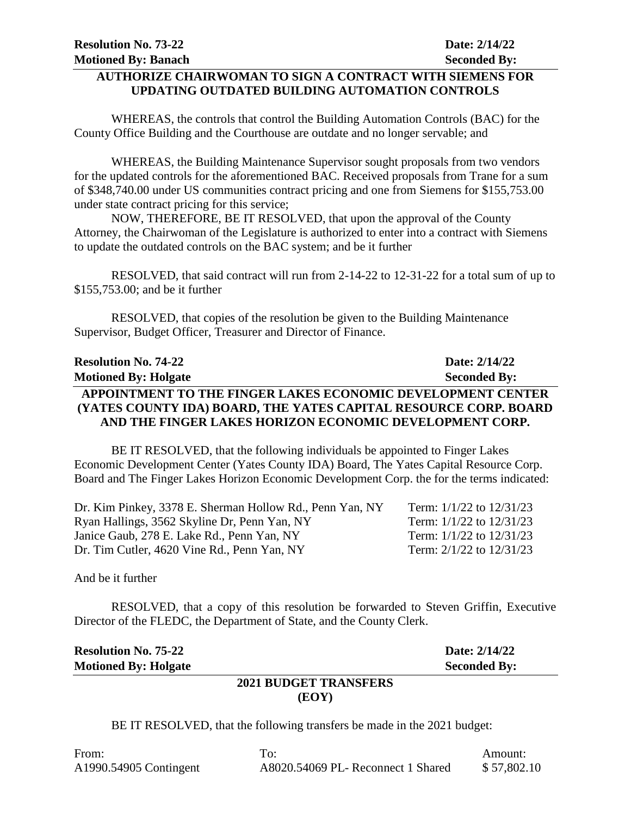### **AUTHORIZE CHAIRWOMAN TO SIGN A CONTRACT WITH SIEMENS FOR UPDATING OUTDATED BUILDING AUTOMATION CONTROLS**

WHEREAS, the controls that control the Building Automation Controls (BAC) for the County Office Building and the Courthouse are outdate and no longer servable; and

WHEREAS, the Building Maintenance Supervisor sought proposals from two vendors for the updated controls for the aforementioned BAC. Received proposals from Trane for a sum of \$348,740.00 under US communities contract pricing and one from Siemens for \$155,753.00 under state contract pricing for this service;

NOW, THEREFORE, BE IT RESOLVED, that upon the approval of the County Attorney, the Chairwoman of the Legislature is authorized to enter into a contract with Siemens to update the outdated controls on the BAC system; and be it further

RESOLVED, that said contract will run from 2-14-22 to 12-31-22 for a total sum of up to \$155,753.00; and be it further

RESOLVED, that copies of the resolution be given to the Building Maintenance Supervisor, Budget Officer, Treasurer and Director of Finance.

| <b>Resolution No. 74-22</b>                                      | Date: 2/14/22       |
|------------------------------------------------------------------|---------------------|
| <b>Motioned By: Holgate</b>                                      | <b>Seconded By:</b> |
| APPOINTMENT TO THE FINGER LAKES ECONOMIC DEVELOPMENT CENTER      |                     |
| (YATES COUNTY IDA) BOARD, THE YATES CAPITAL RESOURCE CORP. BOARD |                     |
| AND THE FINGER LAKES HORIZON ECONOMIC DEVELOPMENT CORP.          |                     |

BE IT RESOLVED, that the following individuals be appointed to Finger Lakes Economic Development Center (Yates County IDA) Board, The Yates Capital Resource Corp. Board and The Finger Lakes Horizon Economic Development Corp. the for the terms indicated:

| Dr. Kim Pinkey, 3378 E. Sherman Hollow Rd., Penn Yan, NY | Term: $1/1/22$ to $12/31/23$ |
|----------------------------------------------------------|------------------------------|
| Ryan Hallings, 3562 Skyline Dr, Penn Yan, NY             | Term: $1/1/22$ to $12/31/23$ |
| Janice Gaub, 278 E. Lake Rd., Penn Yan, NY               | Term: 1/1/22 to 12/31/23     |
| Dr. Tim Cutler, 4620 Vine Rd., Penn Yan, NY              | Term: 2/1/22 to 12/31/23     |

And be it further

RESOLVED, that a copy of this resolution be forwarded to Steven Griffin, Executive Director of the FLEDC, the Department of State, and the County Clerk.

| <b>Resolution No. 75-22</b> | Date: 2/14/22       |
|-----------------------------|---------------------|
| <b>Motioned By: Holgate</b> | <b>Seconded By:</b> |
| 2021 BUDGET TRANSFERS       |                     |
| (EOY)                       |                     |

BE IT RESOLVED, that the following transfers be made in the 2021 budget:

| From:                  | To:                                | Amount:     |
|------------------------|------------------------------------|-------------|
| A1990.54905 Contingent | A8020.54069 PL- Reconnect 1 Shared | \$57,802.10 |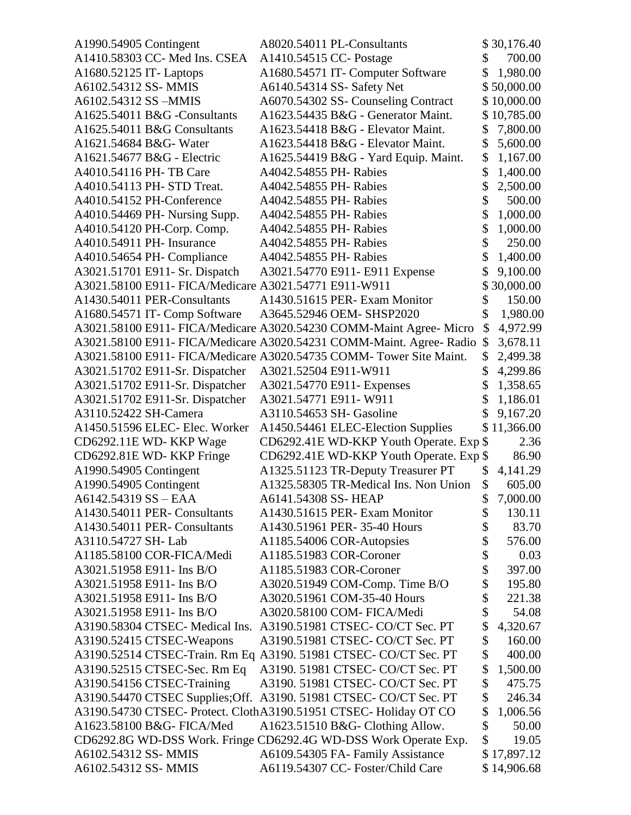| A1990.54905 Contingent                                | A8020.54011 PL-Consultants                                           |          | \$30,176.40 |
|-------------------------------------------------------|----------------------------------------------------------------------|----------|-------------|
| A1410.58303 CC- Med Ins. CSEA                         | A1410.54515 CC- Postage                                              | \$       | 700.00      |
| A1680.52125 IT- Laptops                               | A1680.54571 IT- Computer Software                                    | \$       | 1,980.00    |
| A6102.54312 SS- MMIS                                  | A6140.54314 SS- Safety Net                                           |          | \$50,000.00 |
| A6102.54312 SS-MMIS                                   | A6070.54302 SS- Counseling Contract                                  |          | \$10,000.00 |
| A1625.54011 B&G -Consultants                          | A1623.54435 B&G - Generator Maint.                                   |          | \$10,785.00 |
| A1625.54011 B&G Consultants                           | A1623.54418 B&G - Elevator Maint.                                    | \$       | 7,800.00    |
| A1621.54684 B&G- Water                                | A1623.54418 B&G - Elevator Maint.                                    | \$       | 5,600.00    |
| A1621.54677 B&G - Electric                            | A1625.54419 B&G - Yard Equip. Maint.                                 | \$       | 1,167.00    |
| A4010.54116 PH-TB Care                                | A4042.54855 PH- Rabies                                               | \$       | 1,400.00    |
| A4010.54113 PH- STD Treat.                            | A4042.54855 PH-Rabies                                                | \$       | 2,500.00    |
| A4010.54152 PH-Conference                             | A4042.54855 PH- Rabies                                               | \$       | 500.00      |
| A4010.54469 PH- Nursing Supp.                         | A4042.54855 PH-Rabies                                                | \$       | 1,000.00    |
| A4010.54120 PH-Corp. Comp.                            | A4042.54855 PH-Rabies                                                | \$       | 1,000.00    |
| A4010.54911 PH- Insurance                             | A4042.54855 PH- Rabies                                               | \$       | 250.00      |
| A4010.54654 PH- Compliance                            | A4042.54855 PH-Rabies                                                | \$       | 1,400.00    |
| A3021.51701 E911- Sr. Dispatch                        | A3021.54770 E911- E911 Expense                                       | \$       | 9,100.00    |
| A3021.58100 E911- FICA/Medicare A3021.54771 E911-W911 |                                                                      |          | 30,000.00   |
| A1430.54011 PER-Consultants                           | A1430.51615 PER- Exam Monitor                                        | \$       | 150.00      |
| A1680.54571 IT- Comp Software                         | A3645.52946 OEM- SHSP2020                                            | \$       | 1,980.00    |
|                                                       | A3021.58100 E911- FICA/Medicare A3020.54230 COMM-Maint Agree- Micro  | \$       | 4,972.99    |
|                                                       | A3021.58100 E911- FICA/Medicare A3020.54231 COMM-Maint. Agree- Radio | \$       | 3,678.11    |
|                                                       | A3021.58100 E911- FICA/Medicare A3020.54735 COMM- Tower Site Maint.  | \$       | 2,499.38    |
| A3021.51702 E911-Sr. Dispatcher                       | A3021.52504 E911-W911                                                | \$       | 4,299.86    |
| A3021.51702 E911-Sr. Dispatcher                       | A3021.54770 E911- Expenses                                           | \$       | 1,358.65    |
| A3021.51702 E911-Sr. Dispatcher                       | A3021.54771 E911-W911                                                | \$       | 1,186.01    |
| A3110.52422 SH-Camera                                 | A3110.54653 SH- Gasoline                                             |          | 9,167.20    |
| A1450.51596 ELEC- Elec. Worker                        | A1450.54461 ELEC-Election Supplies                                   |          | \$11,366.00 |
| CD6292.11E WD- KKP Wage                               | CD6292.41E WD-KKP Youth Operate. Exp \$                              |          | 2.36        |
| CD6292.81E WD- KKP Fringe                             | CD6292.41E WD-KKP Youth Operate. Exp \$                              |          | 86.90       |
| A1990.54905 Contingent                                | A1325.51123 TR-Deputy Treasurer PT                                   | S        | 4,141.29    |
| A1990.54905 Contingent                                | A1325.58305 TR-Medical Ins. Non Union                                | \$       | 605.00      |
| A6142.54319 SS - EAA                                  | A6141.54308 SS-HEAP                                                  | \$       | 7,000.00    |
| A1430.54011 PER- Consultants                          | A1430.51615 PER- Exam Monitor                                        | \$       | 130.11      |
| A1430.54011 PER- Consultants                          | A1430.51961 PER-35-40 Hours                                          | \$       | 83.70       |
| A3110.54727 SH-Lab                                    | A1185.54006 COR-Autopsies                                            | \$       | 576.00      |
| A1185.58100 COR-FICA/Medi                             | A1185.51983 COR-Coroner                                              | \$       | 0.03        |
| A3021.51958 E911- Ins B/O                             | A1185.51983 COR-Coroner                                              | \$       | 397.00      |
| A3021.51958 E911- Ins B/O                             | A3020.51949 COM-Comp. Time B/O                                       | \$       | 195.80      |
| A3021.51958 E911- Ins B/O                             | A3020.51961 COM-35-40 Hours                                          | \$       | 221.38      |
| A3021.51958 E911- Ins B/O                             | A3020.58100 COM- FICA/Medi                                           | \$       | 54.08       |
|                                                       |                                                                      | \$       | 4,320.67    |
| A3190.58304 CTSEC- Medical Ins.                       | A3190.51981 CTSEC- CO/CT Sec. PT                                     |          |             |
| A3190.52415 CTSEC-Weapons                             | A3190.51981 CTSEC- CO/CT Sec. PT                                     | \$<br>\$ | 160.00      |
|                                                       | A3190.52514 CTSEC-Train. Rm Eq A3190. 51981 CTSEC- CO/CT Sec. PT     |          | 400.00      |
| A3190.52515 CTSEC-Sec. Rm Eq                          | A3190. 51981 CTSEC- CO/CT Sec. PT                                    | \$       | 1,500.00    |
| A3190.54156 CTSEC-Training                            | A3190. 51981 CTSEC- CO/CT Sec. PT                                    | \$       | 475.75      |
| A3190.54470 CTSEC Supplies; Off.                      | A3190. 51981 CTSEC- CO/CT Sec. PT                                    | \$       | 246.34      |
|                                                       | A3190.54730 CTSEC- Protect. ClothA3190.51951 CTSEC- Holiday OT CO    | \$       | 1,006.56    |
| A1623.58100 B&G- FICA/Med                             | A1623.51510 B&G- Clothing Allow.                                     | \$       | 50.00       |
|                                                       | CD6292.8G WD-DSS Work. Fringe CD6292.4G WD-DSS Work Operate Exp.     | \$       | 19.05       |
| A6102.54312 SS- MMIS                                  | A6109.54305 FA- Family Assistance                                    |          | \$17,897.12 |
| A6102.54312 SS- MMIS                                  | A6119.54307 CC- Foster/Child Care                                    |          | \$14,906.68 |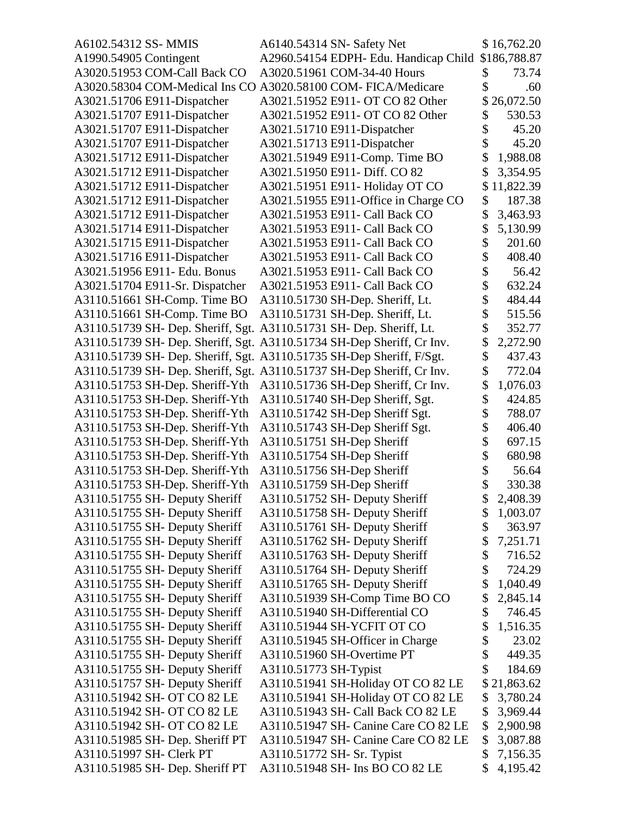| A6102.54312 SS- MMIS            | A6140.54314 SN- Safety Net                                             |    | \$16,762.20  |
|---------------------------------|------------------------------------------------------------------------|----|--------------|
| A1990.54905 Contingent          | A2960.54154 EDPH- Edu. Handicap Child                                  |    | \$186,788.87 |
| A3020.51953 COM-Call Back CO    | A3020.51961 COM-34-40 Hours                                            | \$ | 73.74        |
| A3020.58304 COM-Medical Ins CO  | A3020.58100 COM- FICA/Medicare                                         |    | .60          |
| A3021.51706 E911-Dispatcher     | A3021.51952 E911- OT CO 82 Other                                       |    | 26,072.50    |
| A3021.51707 E911-Dispatcher     | A3021.51952 E911- OT CO 82 Other                                       | \$ | 530.53       |
| A3021.51707 E911-Dispatcher     | A3021.51710 E911-Dispatcher                                            |    | 45.20        |
| A3021.51707 E911-Dispatcher     | A3021.51713 E911-Dispatcher                                            | \$ | 45.20        |
| A3021.51712 E911-Dispatcher     | A3021.51949 E911-Comp. Time BO                                         | \$ | 1,988.08     |
| A3021.51712 E911-Dispatcher     | A3021.51950 E911- Diff. CO 82                                          |    | 3,354.95     |
| A3021.51712 E911-Dispatcher     | A3021.51951 E911- Holiday OT CO                                        | \$ | 11,822.39    |
| A3021.51712 E911-Dispatcher     | A3021.51955 E911-Office in Charge CO                                   | \$ | 187.38       |
| A3021.51712 E911-Dispatcher     | A3021.51953 E911- Call Back CO                                         | \$ | 3,463.93     |
| A3021.51714 E911-Dispatcher     | A3021.51953 E911- Call Back CO                                         | \$ | 5,130.99     |
| A3021.51715 E911-Dispatcher     | A3021.51953 E911- Call Back CO                                         | \$ | 201.60       |
| A3021.51716 E911-Dispatcher     | A3021.51953 E911- Call Back CO                                         | \$ | 408.40       |
| A3021.51956 E911- Edu. Bonus    | A3021.51953 E911- Call Back CO                                         |    | 56.42        |
| A3021.51704 E911-Sr. Dispatcher | A3021.51953 E911- Call Back CO                                         | \$ | 632.24       |
| A3110.51661 SH-Comp. Time BO    | A3110.51730 SH-Dep. Sheriff, Lt.                                       | \$ | 484.44       |
| A3110.51661 SH-Comp. Time BO    | A3110.51731 SH-Dep. Sheriff, Lt.                                       |    | 515.56       |
|                                 | A3110.51739 SH- Dep. Sheriff, Sgt. A3110.51731 SH- Dep. Sheriff, Lt.   | \$ | 352.77       |
|                                 | A3110.51739 SH- Dep. Sheriff, Sgt. A3110.51734 SH-Dep Sheriff, Cr Inv. | \$ | 2,272.90     |
|                                 | A3110.51739 SH- Dep. Sheriff, Sgt. A3110.51735 SH-Dep Sheriff, F/Sgt.  | \$ | 437.43       |
|                                 | A3110.51739 SH- Dep. Sheriff, Sgt. A3110.51737 SH-Dep Sheriff, Cr Inv. | \$ | 772.04       |
| A3110.51753 SH-Dep. Sheriff-Yth | A3110.51736 SH-Dep Sheriff, Cr Inv.                                    | \$ | 1,076.03     |
| A3110.51753 SH-Dep. Sheriff-Yth | A3110.51740 SH-Dep Sheriff, Sgt.                                       | \$ | 424.85       |
| A3110.51753 SH-Dep. Sheriff-Yth | A3110.51742 SH-Dep Sheriff Sgt.                                        |    | 788.07       |
| A3110.51753 SH-Dep. Sheriff-Yth | A3110.51743 SH-Dep Sheriff Sgt.                                        | \$ | 406.40       |
| A3110.51753 SH-Dep. Sheriff-Yth | A3110.51751 SH-Dep Sheriff                                             |    | 697.15       |
| A3110.51753 SH-Dep. Sheriff-Yth | A3110.51754 SH-Dep Sheriff                                             |    | 680.98       |
| A3110.51753 SH-Dep. Sheriff-Yth | A3110.51756 SH-Dep Sheriff                                             | \$ | 56.64        |
| A3110.51753 SH-Dep. Sheriff-Yth | A3110.51759 SH-Dep Sheriff                                             | \$ | 330.38       |
| A3110.51755 SH- Deputy Sheriff  | A3110.51752 SH- Deputy Sheriff                                         |    | 2,408.39     |
| A3110.51755 SH- Deputy Sheriff  | A3110.51758 SH- Deputy Sheriff                                         | \$ | 1,003.07     |
| A3110.51755 SH- Deputy Sheriff  | A3110.51761 SH- Deputy Sheriff                                         | \$ | 363.97       |
| A3110.51755 SH- Deputy Sheriff  | A3110.51762 SH- Deputy Sheriff                                         | \$ | 7,251.71     |
| A3110.51755 SH- Deputy Sheriff  | A3110.51763 SH- Deputy Sheriff                                         | \$ | 716.52       |
| A3110.51755 SH- Deputy Sheriff  | A3110.51764 SH- Deputy Sheriff                                         | \$ | 724.29       |
| A3110.51755 SH- Deputy Sheriff  | A3110.51765 SH- Deputy Sheriff                                         | \$ | 1,040.49     |
| A3110.51755 SH- Deputy Sheriff  | A3110.51939 SH-Comp Time BO CO                                         | \$ | 2,845.14     |
| A3110.51755 SH- Deputy Sheriff  | A3110.51940 SH-Differential CO                                         | \$ | 746.45       |
| A3110.51755 SH- Deputy Sheriff  | A3110.51944 SH-YCFIT OT CO                                             | \$ | 1,516.35     |
| A3110.51755 SH- Deputy Sheriff  | A3110.51945 SH-Officer in Charge                                       | \$ | 23.02        |
| A3110.51755 SH- Deputy Sheriff  | A3110.51960 SH-Overtime PT                                             | \$ | 449.35       |
| A3110.51755 SH- Deputy Sheriff  | A3110.51773 SH-Typist                                                  | \$ | 184.69       |
| A3110.51757 SH- Deputy Sheriff  | A3110.51941 SH-Holiday OT CO 82 LE                                     |    | \$21,863.62  |
| A3110.51942 SH- OT CO 82 LE     | A3110.51941 SH-Holiday OT CO 82 LE                                     | \$ | 3,780.24     |
| A3110.51942 SH- OT CO 82 LE     | A3110.51943 SH- Call Back CO 82 LE                                     | \$ | 3,969.44     |
| A3110.51942 SH- OT CO 82 LE     | A3110.51947 SH- Canine Care CO 82 LE                                   | \$ | 2,900.98     |
| A3110.51985 SH- Dep. Sheriff PT | A3110.51947 SH- Canine Care CO 82 LE                                   | \$ | 3,087.88     |
| A3110.51997 SH- Clerk PT        | A3110.51772 SH- Sr. Typist                                             | \$ | 7,156.35     |
| A3110.51985 SH- Dep. Sheriff PT | A3110.51948 SH- Ins BO CO 82 LE                                        | \$ | 4,195.42     |
|                                 |                                                                        |    |              |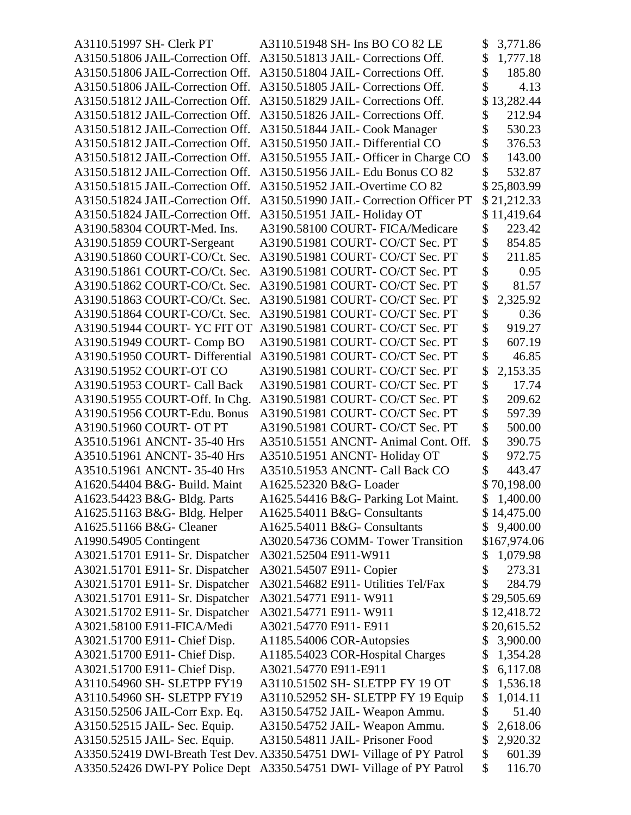| A3110.51997 SH- Clerk PT         | A3110.51948 SH- Ins BO CO 82 LE                                        | \$<br>3,771.86 |
|----------------------------------|------------------------------------------------------------------------|----------------|
| A3150.51806 JAIL-Correction Off. | A3150.51813 JAIL- Corrections Off.                                     | \$<br>1,777.18 |
| A3150.51806 JAIL-Correction Off. | A3150.51804 JAIL- Corrections Off.                                     | 185.80         |
| A3150.51806 JAIL-Correction Off. | A3150.51805 JAIL- Corrections Off.                                     | 4.13           |
| A3150.51812 JAIL-Correction Off. | A3150.51829 JAIL- Corrections Off.                                     | 13,282.44      |
| A3150.51812 JAIL-Correction Off. | A3150.51826 JAIL- Corrections Off.                                     | \$<br>212.94   |
| A3150.51812 JAIL-Correction Off. | A3150.51844 JAIL- Cook Manager                                         | 530.23         |
| A3150.51812 JAIL-Correction Off. | A3150.51950 JAIL-Differential CO                                       | \$<br>376.53   |
| A3150.51812 JAIL-Correction Off. | A3150.51955 JAIL- Officer in Charge CO                                 | \$<br>143.00   |
| A3150.51812 JAIL-Correction Off. | A3150.51956 JAIL- Edu Bonus CO 82                                      | 532.87         |
| A3150.51815 JAIL-Correction Off. | A3150.51952 JAIL-Overtime CO 82                                        | \$25,803.99    |
| A3150.51824 JAIL-Correction Off. | A3150.51990 JAIL- Correction Officer PT                                | \$21,212.33    |
| A3150.51824 JAIL-Correction Off. | A3150.51951 JAIL-Holiday OT                                            | \$11,419.64    |
| A3190.58304 COURT-Med. Ins.      | A3190.58100 COURT- FICA/Medicare                                       | \$<br>223.42   |
| A3190.51859 COURT-Sergeant       | A3190.51981 COURT- CO/CT Sec. PT                                       | \$<br>854.85   |
| A3190.51860 COURT-CO/Ct. Sec.    | A3190.51981 COURT- CO/CT Sec. PT                                       | \$<br>211.85   |
| A3190.51861 COURT-CO/Ct. Sec.    | A3190.51981 COURT- CO/CT Sec. PT                                       | 0.95           |
| A3190.51862 COURT-CO/Ct. Sec.    | A3190.51981 COURT- CO/CT Sec. PT                                       | \$<br>81.57    |
| A3190.51863 COURT-CO/Ct. Sec.    | A3190.51981 COURT- CO/CT Sec. PT                                       | \$<br>2,325.92 |
| A3190.51864 COURT-CO/Ct. Sec.    | A3190.51981 COURT- CO/CT Sec. PT                                       | \$<br>0.36     |
| A3190.51944 COURT- YC FIT OT     | A3190.51981 COURT- CO/CT Sec. PT                                       | \$<br>919.27   |
| A3190.51949 COURT- Comp BO       | A3190.51981 COURT- CO/CT Sec. PT                                       | \$<br>607.19   |
| A3190.51950 COURT- Differential  | A3190.51981 COURT- CO/CT Sec. PT                                       | \$<br>46.85    |
| A3190.51952 COURT-OT CO          | A3190.51981 COURT- CO/CT Sec. PT                                       | 2,153.35       |
| A3190.51953 COURT- Call Back     | A3190.51981 COURT- CO/CT Sec. PT                                       | \$<br>17.74    |
| A3190.51955 COURT-Off. In Chg.   | A3190.51981 COURT- CO/CT Sec. PT                                       | \$<br>209.62   |
| A3190.51956 COURT-Edu. Bonus     | A3190.51981 COURT- CO/CT Sec. PT                                       | 597.39         |
| A3190.51960 COURT- OT PT         | A3190.51981 COURT- CO/CT Sec. PT                                       | \$<br>500.00   |
| A3510.51961 ANCNT-35-40 Hrs      | A3510.51551 ANCNT- Animal Cont. Off.                                   | \$<br>390.75   |
| A3510.51961 ANCNT-35-40 Hrs      | A3510.51951 ANCNT-Holiday OT                                           | \$<br>972.75   |
| A3510.51961 ANCNT-35-40 Hrs      | A3510.51953 ANCNT- Call Back CO                                        | 443.47         |
| A1620.54404 B&G- Build. Maint    | A1625.52320 B&G- Loader                                                | \$70,198.00    |
| A1623.54423 B&G- Bldg. Parts     | A1625.54416 B&G- Parking Lot Maint.                                    | \$1,400.00     |
| A1625.51163 B&G- Bldg. Helper    | A1625.54011 B&G- Consultants                                           | \$14,475.00    |
| A1625.51166 B&G- Cleaner         | A1625.54011 B&G- Consultants                                           | \$<br>9,400.00 |
| A1990.54905 Contingent           | A3020.54736 COMM- Tower Transition                                     | \$167,974.06   |
| A3021.51701 E911- Sr. Dispatcher | A3021.52504 E911-W911                                                  | \$<br>1,079.98 |
| A3021.51701 E911- Sr. Dispatcher | A3021.54507 E911- Copier                                               | \$<br>273.31   |
| A3021.51701 E911- Sr. Dispatcher | A3021.54682 E911- Utilities Tel/Fax                                    | 284.79         |
| A3021.51701 E911- Sr. Dispatcher | A3021.54771 E911-W911                                                  | \$29,505.69    |
| A3021.51702 E911- Sr. Dispatcher | A3021.54771 E911-W911                                                  | \$12,418.72    |
| A3021.58100 E911-FICA/Medi       | A3021.54770 E911- E911                                                 | \$20,615.52    |
| A3021.51700 E911- Chief Disp.    | A1185.54006 COR-Autopsies                                              | \$<br>3,900.00 |
| A3021.51700 E911- Chief Disp.    | A1185.54023 COR-Hospital Charges                                       | \$<br>1,354.28 |
| A3021.51700 E911- Chief Disp.    | A3021.54770 E911-E911                                                  | \$<br>6,117.08 |
| A3110.54960 SH- SLETPP FY19      | A3110.51502 SH- SLETPP FY 19 OT                                        | \$<br>1,536.18 |
| A3110.54960 SH- SLETPP FY19      | A3110.52952 SH- SLETPP FY 19 Equip                                     | \$<br>1,014.11 |
| A3150.52506 JAIL-Corr Exp. Eq.   | A3150.54752 JAIL-Weapon Ammu.                                          | \$<br>51.40    |
| A3150.52515 JAIL- Sec. Equip.    | A3150.54752 JAIL- Weapon Ammu.                                         | \$<br>2,618.06 |
| A3150.52515 JAIL- Sec. Equip.    | A3150.54811 JAIL- Prisoner Food                                        | \$<br>2,920.32 |
|                                  | A3350.52419 DWI-Breath Test Dev. A3350.54751 DWI- Village of PY Patrol | \$<br>601.39   |
| A3350.52426 DWI-PY Police Dept   | A3350.54751 DWI- Village of PY Patrol                                  | \$<br>116.70   |
|                                  |                                                                        |                |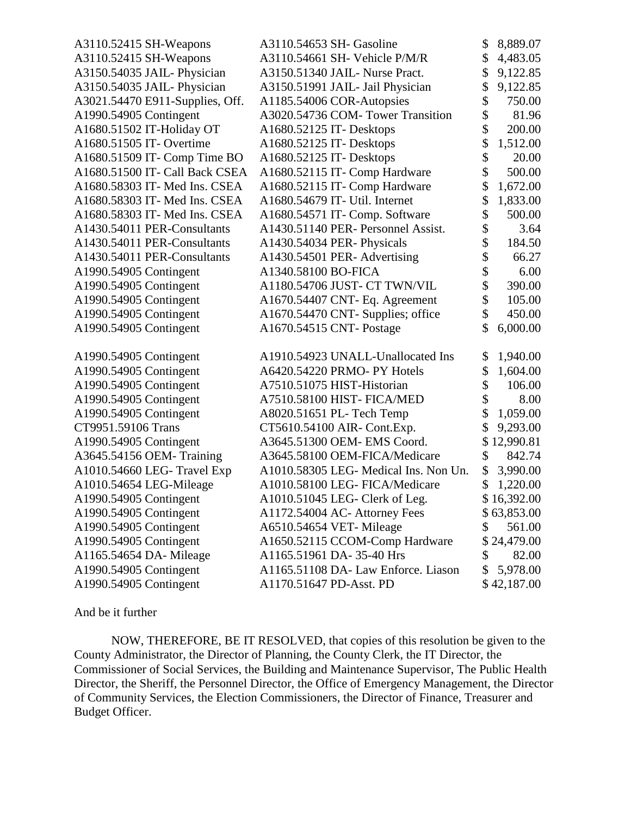| A3110.52415 SH-Weapons          | A3110.54653 SH- Gasoline              | \$<br>8,889.07  |
|---------------------------------|---------------------------------------|-----------------|
| A3110.52415 SH-Weapons          | A3110.54661 SH- Vehicle P/M/R         | \$<br>4,483.05  |
| A3150.54035 JAIL-Physician      | A3150.51340 JAIL- Nurse Pract.        | \$<br>9,122.85  |
| A3150.54035 JAIL-Physician      | A3150.51991 JAIL- Jail Physician      | \$<br>9,122.85  |
| A3021.54470 E911-Supplies, Off. | A1185.54006 COR-Autopsies             | \$<br>750.00    |
| A1990.54905 Contingent          | A3020.54736 COM- Tower Transition     | \$<br>81.96     |
| A1680.51502 IT-Holiday OT       | A1680.52125 IT- Desktops              | \$<br>200.00    |
| A1680.51505 IT- Overtime        | A1680.52125 IT- Desktops              | \$<br>1,512.00  |
| A1680.51509 IT- Comp Time BO    | A1680.52125 IT- Desktops              | \$<br>20.00     |
| A1680.51500 IT- Call Back CSEA  | A1680.52115 IT- Comp Hardware         | \$<br>500.00    |
| A1680.58303 IT- Med Ins. CSEA   | A1680.52115 IT- Comp Hardware         | \$<br>1,672.00  |
| A1680.58303 IT- Med Ins. CSEA   | A1680.54679 IT- Util. Internet        | \$<br>1,833.00  |
| A1680.58303 IT- Med Ins. CSEA   | A1680.54571 IT- Comp. Software        | \$<br>500.00    |
| A1430.54011 PER-Consultants     | A1430.51140 PER- Personnel Assist.    | \$<br>3.64      |
| A1430.54011 PER-Consultants     | A1430.54034 PER- Physicals            | \$<br>184.50    |
| A1430.54011 PER-Consultants     | A1430.54501 PER- Advertising          | \$<br>66.27     |
| A1990.54905 Contingent          | A1340.58100 BO-FICA                   | \$<br>6.00      |
| A1990.54905 Contingent          | A1180.54706 JUST- CT TWN/VIL          | \$<br>390.00    |
| A1990.54905 Contingent          | A1670.54407 CNT- Eq. Agreement        | \$<br>105.00    |
| A1990.54905 Contingent          | A1670.54470 CNT- Supplies; office     | \$<br>450.00    |
| A1990.54905 Contingent          | A1670.54515 CNT- Postage              | \$<br>6,000.00  |
| A1990.54905 Contingent          | A1910.54923 UNALL-Unallocated Ins     | \$<br>1,940.00  |
| A1990.54905 Contingent          | A6420.54220 PRMO- PY Hotels           | \$<br>1,604.00  |
| A1990.54905 Contingent          | A7510.51075 HIST-Historian            | \$<br>106.00    |
| A1990.54905 Contingent          | A7510.58100 HIST-FICA/MED             | \$<br>8.00      |
| A1990.54905 Contingent          | A8020.51651 PL- Tech Temp             | \$<br>1,059.00  |
| CT9951.59106 Trans              | CT5610.54100 AIR- Cont.Exp.           | \$<br>9,293.00  |
| A1990.54905 Contingent          | A3645.51300 OEM- EMS Coord.           | \$<br>12,990.81 |
| A3645.54156 OEM- Training       | A3645.58100 OEM-FICA/Medicare         | \$<br>842.74    |
| A1010.54660 LEG- Travel Exp     | A1010.58305 LEG- Medical Ins. Non Un. | \$<br>3,990.00  |
| A1010.54654 LEG-Mileage         | A1010.58100 LEG- FICA/Medicare        | \$<br>1,220.00  |
| A1990.54905 Contingent          | A1010.51045 LEG- Clerk of Leg.        | \$16,392.00     |
| A1990.54905 Contingent          | A1172.54004 AC- Attorney Fees         | \$63,853.00     |
| A1990.54905 Contingent          | A6510.54654 VET-Mileage               | \$<br>561.00    |
| A1990.54905 Contingent          | A1650.52115 CCOM-Comp Hardware        | \$<br>24,479.00 |
| A1165.54654 DA- Mileage         | A1165.51961 DA-35-40 Hrs              | \$<br>82.00     |
| A1990.54905 Contingent          | A1165.51108 DA- Law Enforce. Liason   | \$<br>5,978.00  |
| A1990.54905 Contingent          | A1170.51647 PD-Asst. PD               | \$42,187.00     |
|                                 |                                       |                 |

And be it further

NOW, THEREFORE, BE IT RESOLVED, that copies of this resolution be given to the County Administrator, the Director of Planning, the County Clerk, the IT Director, the Commissioner of Social Services, the Building and Maintenance Supervisor, The Public Health Director, the Sheriff, the Personnel Director, the Office of Emergency Management, the Director of Community Services, the Election Commissioners, the Director of Finance, Treasurer and Budget Officer.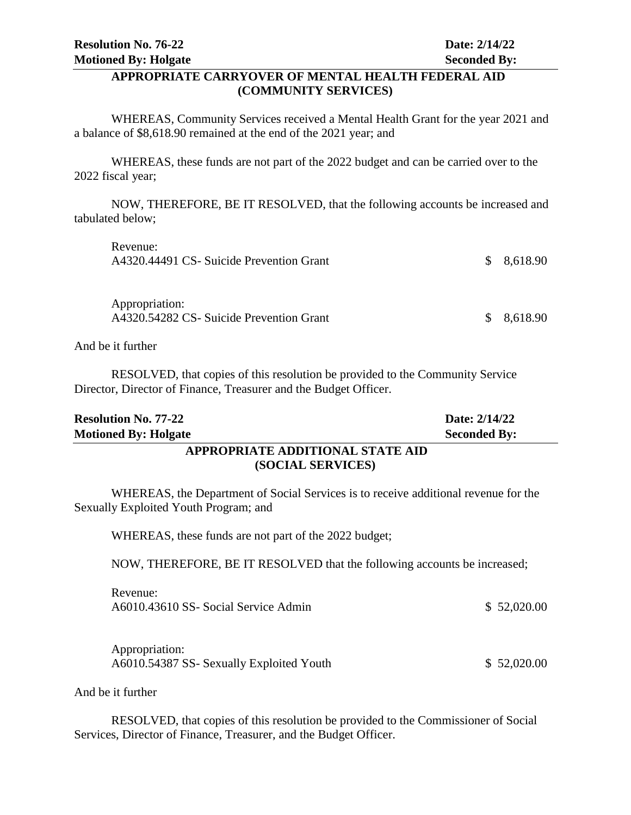#### **APPROPRIATE CARRYOVER OF MENTAL HEALTH FEDERAL AID (COMMUNITY SERVICES)**

WHEREAS, Community Services received a Mental Health Grant for the year 2021 and a balance of \$8,618.90 remained at the end of the 2021 year; and

WHEREAS, these funds are not part of the 2022 budget and can be carried over to the 2022 fiscal year;

NOW, THEREFORE, BE IT RESOLVED, that the following accounts be increased and tabulated below;

| Revenue:<br>A4320.44491 CS- Suicide Prevention Grant       | \$8,618.90 |
|------------------------------------------------------------|------------|
| Appropriation:<br>A4320.54282 CS- Suicide Prevention Grant | \$8,618.90 |

And be it further

RESOLVED, that copies of this resolution be provided to the Community Service Director, Director of Finance, Treasurer and the Budget Officer.

| <b>Resolution No. 77-22</b>      | Date: 2/14/22       |
|----------------------------------|---------------------|
| <b>Motioned By: Holgate</b>      | <b>Seconded By:</b> |
| APPROPRIATE ADDITIONAL STATE AID |                     |
| (SOCIAL SERVICES)                |                     |

WHEREAS, the Department of Social Services is to receive additional revenue for the Sexually Exploited Youth Program; and

WHEREAS, these funds are not part of the 2022 budget;

NOW, THEREFORE, BE IT RESOLVED that the following accounts be increased;

| Revenue:                             |             |
|--------------------------------------|-------------|
| A6010.43610 SS- Social Service Admin | \$52,020.00 |

Appropriation: A6010.54387 SS- Sexually Exploited Youth \$ 52,020.00

And be it further

RESOLVED, that copies of this resolution be provided to the Commissioner of Social Services, Director of Finance, Treasurer, and the Budget Officer.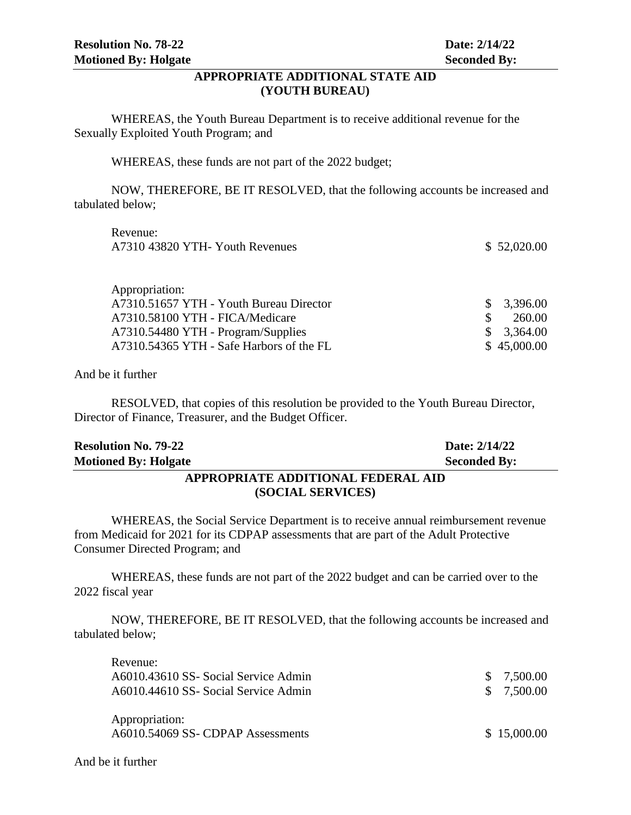#### **APPROPRIATE ADDITIONAL STATE AID (YOUTH BUREAU)**

WHEREAS, the Youth Bureau Department is to receive additional revenue for the Sexually Exploited Youth Program; and

WHEREAS, these funds are not part of the 2022 budget;

NOW, THEREFORE, BE IT RESOLVED, that the following accounts be increased and tabulated below;

| Revenue:                                 |             |
|------------------------------------------|-------------|
| A7310 43820 YTH- Youth Revenues          | \$52,020.00 |
|                                          |             |
|                                          |             |
| Appropriation:                           |             |
| A7310.51657 YTH - Youth Bureau Director  | 3,396.00    |
| A7310.58100 YTH - FICA/Medicare          | 260.00      |
| A7310.54480 YTH - Program/Supplies       | 3,364.00    |
| A7310.54365 YTH - Safe Harbors of the FL | \$45,000.00 |
|                                          |             |

And be it further

RESOLVED, that copies of this resolution be provided to the Youth Bureau Director, Director of Finance, Treasurer, and the Budget Officer.

| <b>Resolution No. 79-22</b>        | Date: 2/14/22       |  |
|------------------------------------|---------------------|--|
| <b>Motioned By: Holgate</b>        | <b>Seconded By:</b> |  |
| APPROPRIATE ADDITIONAL FEDERAL AID |                     |  |

# **(SOCIAL SERVICES)**

WHEREAS, the Social Service Department is to receive annual reimbursement revenue from Medicaid for 2021 for its CDPAP assessments that are part of the Adult Protective Consumer Directed Program; and

WHEREAS, these funds are not part of the 2022 budget and can be carried over to the 2022 fiscal year

NOW, THEREFORE, BE IT RESOLVED, that the following accounts be increased and tabulated below;

| Revenue:                                            |             |
|-----------------------------------------------------|-------------|
| A6010.43610 SS- Social Service Admin                | \$7,500.00  |
| A6010.44610 SS- Social Service Admin                | \$7,500.00  |
| Appropriation:<br>A6010.54069 SS- CDPAP Assessments | \$15,000.00 |

And be it further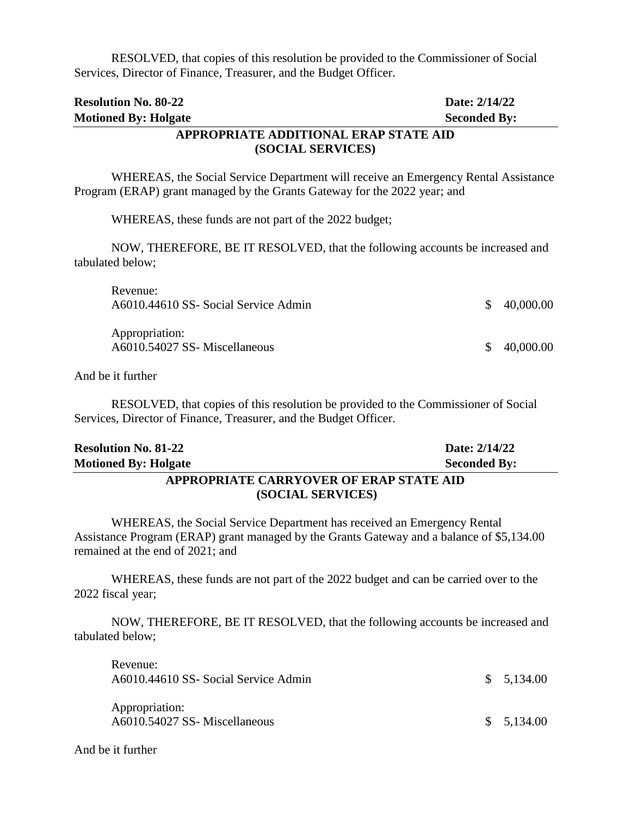RESOLVED, that copies of this resolution be provided to the Commissioner of Social Services, Director of Finance, Treasurer, and the Budget Officer.

| <b>Resolution No. 80-22</b>           | Date: 2/14/22       |
|---------------------------------------|---------------------|
| <b>Motioned By: Holgate</b>           | <b>Seconded By:</b> |
| APPROPRIATE ADDITIONAL ERAP STATE AID |                     |
| (SOCIAL SERVICES)                     |                     |

# WHEREAS, the Social Service Department will receive an Emergency Rental Assistance Program (ERAP) grant managed by the Grants Gateway for the 2022 year; and

WHEREAS, these funds are not part of the 2022 budget;

NOW, THEREFORE, BE IT RESOLVED, that the following accounts be increased and tabulated below;

| Revenue:<br>A6010.44610 SS- Social Service Admin | \$40,000.00 |
|--------------------------------------------------|-------------|
| Appropriation:<br>A6010.54027 SS- Miscellaneous  | \$40,000.00 |

And be it further

RESOLVED, that copies of this resolution be provided to the Commissioner of Social Services, Director of Finance, Treasurer, and the Budget Officer.

| <b>Resolution No. 81-22</b>             | Date: 2/14/22       |  |
|-----------------------------------------|---------------------|--|
| <b>Motioned By: Holgate</b>             | <b>Seconded By:</b> |  |
| APPROPRIATE CARRYOVER OF ERAP STATE AID |                     |  |

# **(SOCIAL SERVICES)**

WHEREAS, the Social Service Department has received an Emergency Rental Assistance Program (ERAP) grant managed by the Grants Gateway and a balance of \$5,134.00 remained at the end of 2021; and

WHEREAS, these funds are not part of the 2022 budget and can be carried over to the 2022 fiscal year;

NOW, THEREFORE, BE IT RESOLVED, that the following accounts be increased and tabulated below;

| Revenue:<br>A6010.44610 SS- Social Service Admin | \$5,134.00 |
|--------------------------------------------------|------------|
| Appropriation:<br>A6010.54027 SS-Miscellaneous   | \$5,134.00 |

And be it further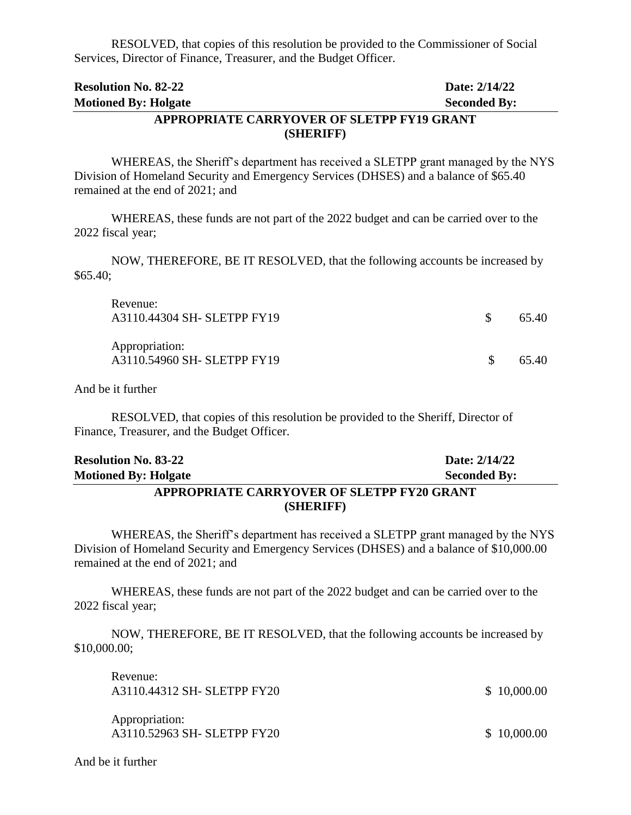RESOLVED, that copies of this resolution be provided to the Commissioner of Social Services, Director of Finance, Treasurer, and the Budget Officer.

| <b>Resolution No. 82-22</b>                | Date: 2/14/22       |
|--------------------------------------------|---------------------|
| <b>Motioned By: Holgate</b>                | <b>Seconded By:</b> |
| APPROPRIATE CARRYOVER OF SLETPP FY19 GRANT |                     |
| (SHERIFF)                                  |                     |

WHEREAS, the Sheriff's department has received a SLETPP grant managed by the NYS Division of Homeland Security and Emergency Services (DHSES) and a balance of \$65.40 remained at the end of 2021; and

WHEREAS, these funds are not part of the 2022 budget and can be carried over to the 2022 fiscal year;

NOW, THEREFORE, BE IT RESOLVED, that the following accounts be increased by \$65.40;

| Revenue:<br>A3110.44304 SH- SLETPP FY19       | -8 | 65.40 |
|-----------------------------------------------|----|-------|
| Appropriation:<br>A3110.54960 SH- SLETPP FY19 |    | 65.40 |

And be it further

RESOLVED, that copies of this resolution be provided to the Sheriff, Director of Finance, Treasurer, and the Budget Officer.

| <b>Resolution No. 83-22</b>                | Date: 2/14/22       |  |
|--------------------------------------------|---------------------|--|
| <b>Motioned By: Holgate</b>                | <b>Seconded By:</b> |  |
| APPROPRIATE CARRYOVER OF SLETPP FY20 GRANT |                     |  |
| (SHERIFF)                                  |                     |  |

WHEREAS, the Sheriff's department has received a SLETPP grant managed by the NYS Division of Homeland Security and Emergency Services (DHSES) and a balance of \$10,000.00 remained at the end of 2021; and

WHEREAS, these funds are not part of the 2022 budget and can be carried over to the 2022 fiscal year;

NOW, THEREFORE, BE IT RESOLVED, that the following accounts be increased by \$10,000.00;

| Revenue:<br>A3110.44312 SH- SLETPP FY20       | \$10,000.00 |
|-----------------------------------------------|-------------|
| Appropriation:<br>A3110.52963 SH- SLETPP FY20 | \$10,000.00 |
| And be it further                             |             |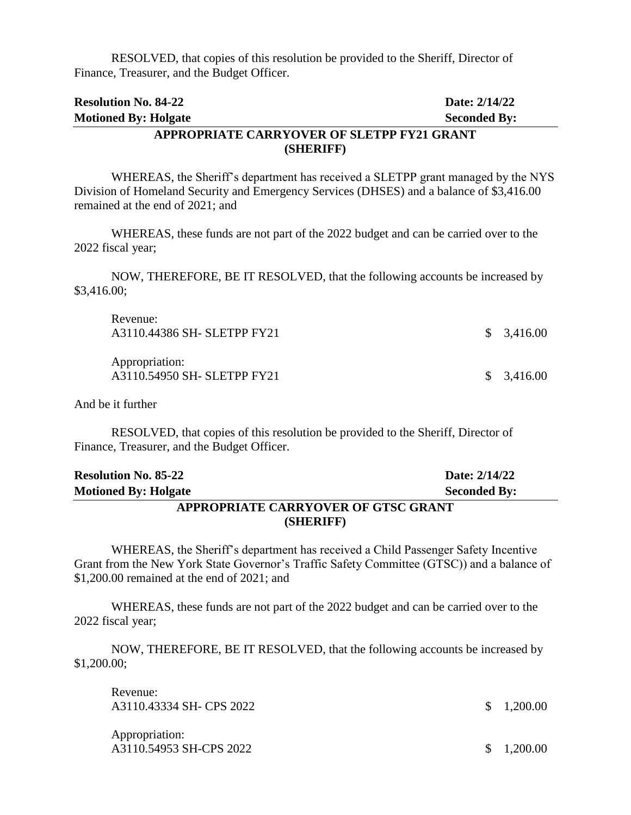RESOLVED, that copies of this resolution be provided to the Sheriff, Director of Finance, Treasurer, and the Budget Officer.

| <b>Resolution No. 84-22</b>                | Date: 2/14/22       |
|--------------------------------------------|---------------------|
| <b>Motioned By: Holgate</b>                | <b>Seconded By:</b> |
| APPROPRIATE CARRYOVER OF SLETPP FY21 GRANT |                     |
| (SHERIFF)                                  |                     |

WHEREAS, the Sheriff's department has received a SLETPP grant managed by the NYS Division of Homeland Security and Emergency Services (DHSES) and a balance of \$3,416.00 remained at the end of 2021; and

WHEREAS, these funds are not part of the 2022 budget and can be carried over to the 2022 fiscal year;

NOW, THEREFORE, BE IT RESOLVED, that the following accounts be increased by \$3,416.00;

| Revenue:<br>A3110.44386 SH- SLETPP FY21       | \$3,416.00 |
|-----------------------------------------------|------------|
| Appropriation:<br>A3110.54950 SH- SLETPP FY21 | \$3,416.00 |

And be it further

RESOLVED, that copies of this resolution be provided to the Sheriff, Director of Finance, Treasurer, and the Budget Officer.

| <b>Resolution No. 85-22</b>         | Date: 2/14/22       |  |
|-------------------------------------|---------------------|--|
| <b>Motioned By: Holgate</b>         | <b>Seconded By:</b> |  |
| APPROPRIATE CARRYOVER OF GTSC GRANT |                     |  |
| (SHERIFF)                           |                     |  |

WHEREAS, the Sheriff's department has received a Child Passenger Safety Incentive Grant from the New York State Governor's Traffic Safety Committee (GTSC)) and a balance of \$1,200.00 remained at the end of 2021; and

WHEREAS, these funds are not part of the 2022 budget and can be carried over to the 2022 fiscal year;

NOW, THEREFORE, BE IT RESOLVED, that the following accounts be increased by \$1,200.00;

| Revenue:<br>A3110.43334 SH- CPS 2022      | $\frac{\$}{0.200.00}$ |
|-------------------------------------------|-----------------------|
| Appropriation:<br>A3110.54953 SH-CPS 2022 | \$1,200.00            |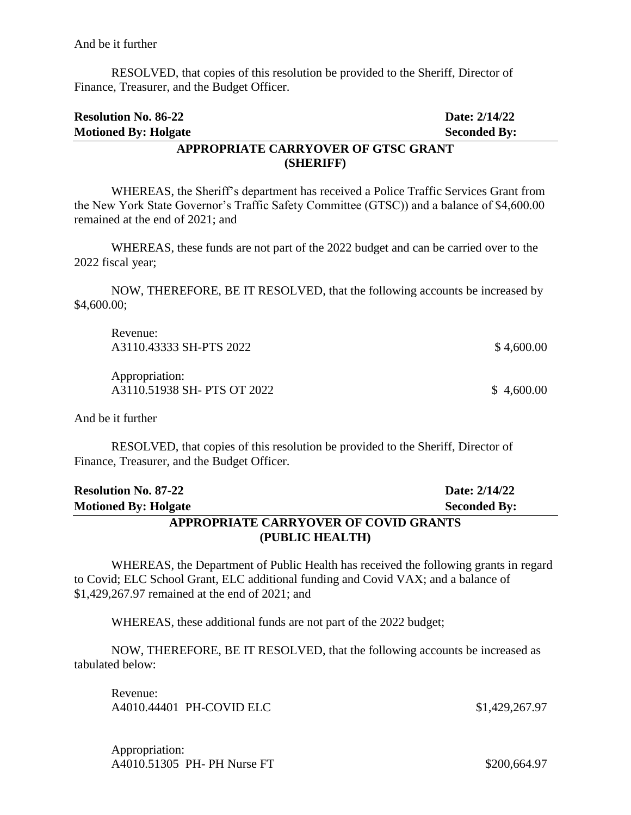And be it further

RESOLVED, that copies of this resolution be provided to the Sheriff, Director of Finance, Treasurer, and the Budget Officer.

| <b>Resolution No. 86-22</b>         | Date: 2/14/22       |  |
|-------------------------------------|---------------------|--|
| <b>Motioned By: Holgate</b>         | <b>Seconded By:</b> |  |
| APPROPRIATE CARRYOVER OF GTSC GRANT |                     |  |
| (SHERIFF)                           |                     |  |

# WHEREAS, the Sheriff's department has received a Police Traffic Services Grant from the New York State Governor's Traffic Safety Committee (GTSC)) and a balance of \$4,600.00 remained at the end of 2021; and

WHEREAS, these funds are not part of the 2022 budget and can be carried over to the 2022 fiscal year;

NOW, THEREFORE, BE IT RESOLVED, that the following accounts be increased by \$4,600.00;

| Revenue:<br>A3110.43333 SH-PTS 2022           | \$4,600.00 |
|-----------------------------------------------|------------|
| Appropriation:<br>A3110.51938 SH- PTS OT 2022 | \$4,600.00 |

And be it further

RESOLVED, that copies of this resolution be provided to the Sheriff, Director of Finance, Treasurer, and the Budget Officer.

| <b>Resolution No. 87-22</b>           | Date: 2/14/22       |  |
|---------------------------------------|---------------------|--|
| <b>Motioned By: Holgate</b>           | <b>Seconded By:</b> |  |
| APPROPRIATE CARRYOVER OF COVID GRANTS |                     |  |
| (PUBLIC HEALTH)                       |                     |  |

WHEREAS, the Department of Public Health has received the following grants in regard to Covid; ELC School Grant, ELC additional funding and Covid VAX; and a balance of \$1,429,267.97 remained at the end of 2021; and

WHEREAS, these additional funds are not part of the 2022 budget;

NOW, THEREFORE, BE IT RESOLVED, that the following accounts be increased as tabulated below:

Revenue: A4010.44401 PH-COVID ELC \$1,429,267.97

Appropriation: A4010.51305 PH- PH Nurse FT \$200,664.97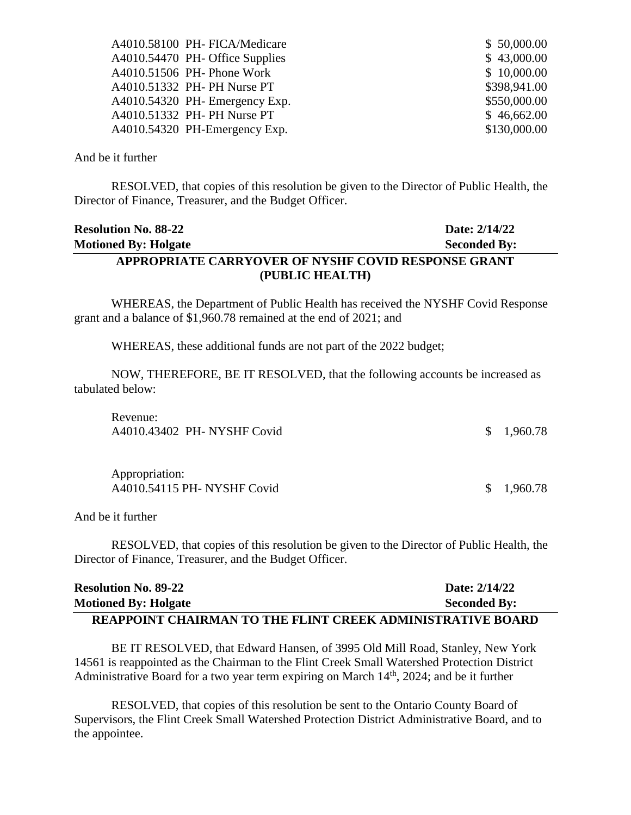| A4010.58100 PH-FICA/Medicare    | \$50,000.00  |
|---------------------------------|--------------|
| A4010.54470 PH- Office Supplies | \$43,000.00  |
| A4010.51506 PH- Phone Work      | \$10,000.00  |
| A4010.51332 PH- PH Nurse PT     | \$398,941.00 |
| $A4010.54320$ PH-Emergency Exp. | \$550,000.00 |
| A4010.51332 PH- PH Nurse PT     | \$46,662.00  |
| A4010.54320 PH-Emergency Exp.   | \$130,000.00 |

#### And be it further

RESOLVED, that copies of this resolution be given to the Director of Public Health, the Director of Finance, Treasurer, and the Budget Officer.

# **Resolution No. 88-22 Date: 2/14/22 Motioned By: Holgate Seconded By: APPROPRIATE CARRYOVER OF NYSHF COVID RESPONSE GRANT (PUBLIC HEALTH)**

WHEREAS, the Department of Public Health has received the NYSHF Covid Response grant and a balance of \$1,960.78 remained at the end of 2021; and

WHEREAS, these additional funds are not part of the 2022 budget;

NOW, THEREFORE, BE IT RESOLVED, that the following accounts be increased as tabulated below:

| Revenue:<br>A4010.43402 PH- NYSHF Covid       | \$1,960.78 |
|-----------------------------------------------|------------|
| Appropriation:<br>A4010.54115 PH- NYSHF Covid | \$1,960.78 |

And be it further

RESOLVED, that copies of this resolution be given to the Director of Public Health, the Director of Finance, Treasurer, and the Budget Officer.

| <b>Resolution No. 89-22</b>                                       | Date: 2/14/22       |
|-------------------------------------------------------------------|---------------------|
| <b>Motioned By: Holgate</b>                                       | <b>Seconded By:</b> |
| <b>REAPPOINT CHAIRMAN TO THE FLINT CREEK ADMINISTRATIVE BOARD</b> |                     |

BE IT RESOLVED, that Edward Hansen, of 3995 Old Mill Road, Stanley, New York 14561 is reappointed as the Chairman to the Flint Creek Small Watershed Protection District Administrative Board for a two year term expiring on March  $14<sup>th</sup>$ , 2024; and be it further

RESOLVED, that copies of this resolution be sent to the Ontario County Board of Supervisors, the Flint Creek Small Watershed Protection District Administrative Board, and to the appointee.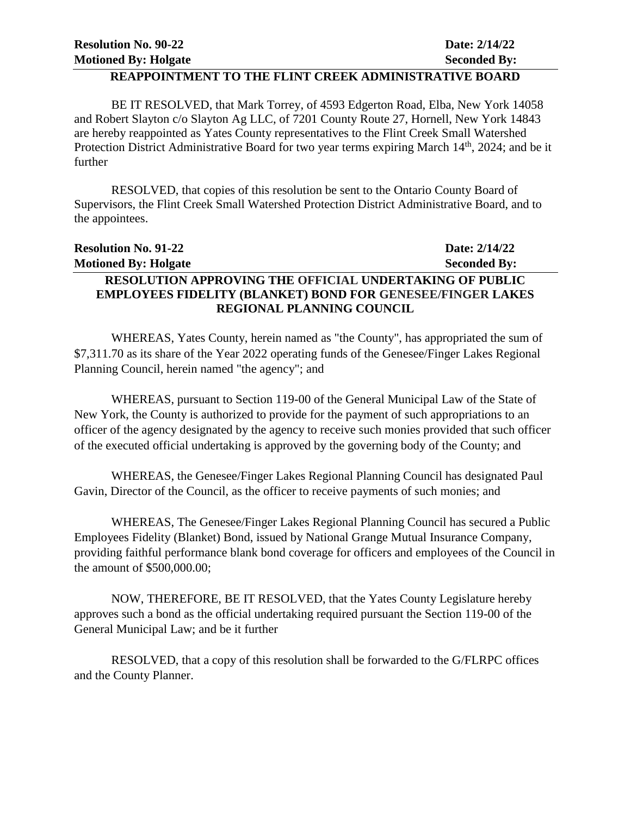#### **REAPPOINTMENT TO THE FLINT CREEK ADMINISTRATIVE BOARD**

BE IT RESOLVED, that Mark Torrey, of 4593 Edgerton Road, Elba, New York 14058 and Robert Slayton c/o Slayton Ag LLC, of 7201 County Route 27, Hornell, New York 14843 are hereby reappointed as Yates County representatives to the Flint Creek Small Watershed Protection District Administrative Board for two year terms expiring March 14<sup>th</sup>, 2024; and be it further

RESOLVED, that copies of this resolution be sent to the Ontario County Board of Supervisors, the Flint Creek Small Watershed Protection District Administrative Board, and to the appointees.

| <b>Resolution No. 91-22</b>                                       | Date: 2/14/22       |
|-------------------------------------------------------------------|---------------------|
| <b>Motioned By: Holgate</b>                                       | <b>Seconded By:</b> |
| <b>RESOLUTION APPROVING THE OFFICIAL UNDERTAKING OF PUBLIC</b>    |                     |
| <b>EMPLOYEES FIDELITY (BLANKET) BOND FOR GENESEE/FINGER LAKES</b> |                     |
| <b>REGIONAL PLANNING COUNCIL</b>                                  |                     |

WHEREAS, Yates County, herein named as "the County", has appropriated the sum of \$7,311.70 as its share of the Year 2022 operating funds of the Genesee/Finger Lakes Regional Planning Council, herein named "the agency"; and

WHEREAS, pursuant to Section 119-00 of the General Municipal Law of the State of New York, the County is authorized to provide for the payment of such appropriations to an officer of the agency designated by the agency to receive such monies provided that such officer of the executed official undertaking is approved by the governing body of the County; and

WHEREAS, the Genesee/Finger Lakes Regional Planning Council has designated Paul Gavin, Director of the Council, as the officer to receive payments of such monies; and

WHEREAS, The Genesee/Finger Lakes Regional Planning Council has secured a Public Employees Fidelity (Blanket) Bond, issued by National Grange Mutual Insurance Company, providing faithful performance blank bond coverage for officers and employees of the Council in the amount of \$500,000.00;

NOW, THEREFORE, BE IT RESOLVED, that the Yates County Legislature hereby approves such a bond as the official undertaking required pursuant the Section 119-00 of the General Municipal Law; and be it further

RESOLVED, that a copy of this resolution shall be forwarded to the G/FLRPC offices and the County Planner.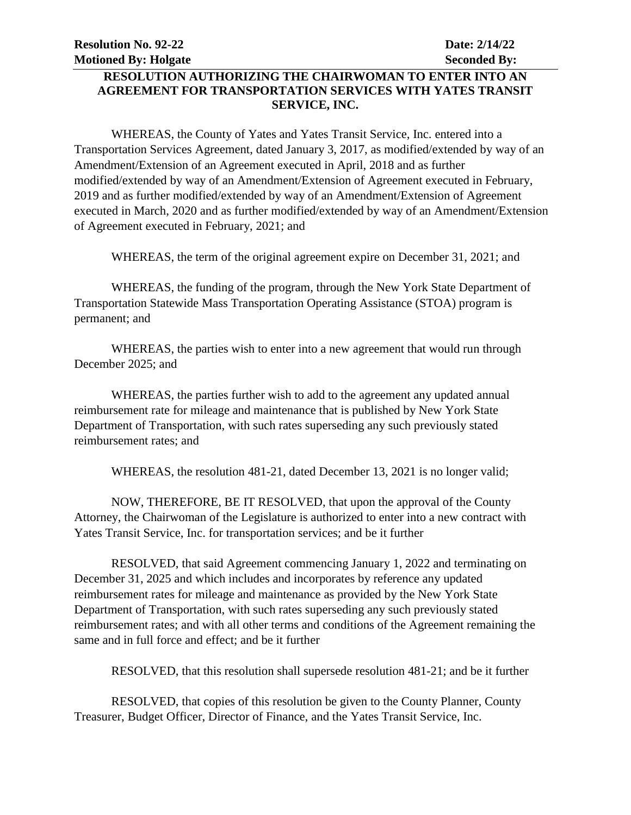# **RESOLUTION AUTHORIZING THE CHAIRWOMAN TO ENTER INTO AN AGREEMENT FOR TRANSPORTATION SERVICES WITH YATES TRANSIT SERVICE, INC.**

WHEREAS, the County of Yates and Yates Transit Service, Inc. entered into a Transportation Services Agreement, dated January 3, 2017, as modified/extended by way of an Amendment/Extension of an Agreement executed in April, 2018 and as further modified/extended by way of an Amendment/Extension of Agreement executed in February, 2019 and as further modified/extended by way of an Amendment/Extension of Agreement executed in March, 2020 and as further modified/extended by way of an Amendment/Extension of Agreement executed in February, 2021; and

WHEREAS, the term of the original agreement expire on December 31, 2021; and

WHEREAS, the funding of the program, through the New York State Department of Transportation Statewide Mass Transportation Operating Assistance (STOA) program is permanent; and

WHEREAS, the parties wish to enter into a new agreement that would run through December 2025; and

WHEREAS, the parties further wish to add to the agreement any updated annual reimbursement rate for mileage and maintenance that is published by New York State Department of Transportation, with such rates superseding any such previously stated reimbursement rates; and

WHEREAS, the resolution 481-21, dated December 13, 2021 is no longer valid;

NOW, THEREFORE, BE IT RESOLVED, that upon the approval of the County Attorney, the Chairwoman of the Legislature is authorized to enter into a new contract with Yates Transit Service, Inc. for transportation services; and be it further

RESOLVED, that said Agreement commencing January 1, 2022 and terminating on December 31, 2025 and which includes and incorporates by reference any updated reimbursement rates for mileage and maintenance as provided by the New York State Department of Transportation, with such rates superseding any such previously stated reimbursement rates; and with all other terms and conditions of the Agreement remaining the same and in full force and effect; and be it further

RESOLVED, that this resolution shall supersede resolution 481-21; and be it further

RESOLVED, that copies of this resolution be given to the County Planner, County Treasurer, Budget Officer, Director of Finance, and the Yates Transit Service, Inc.